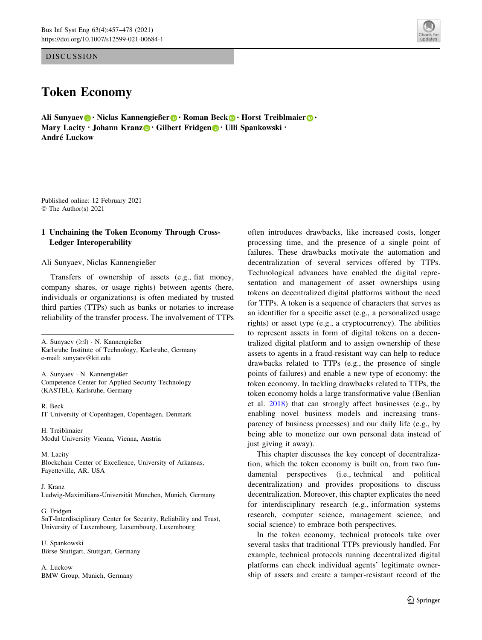DISCUSSION

# Token Economy

Ali Sunyaev [•](http://orcid.org/0000-0002-2880-3361) Niclas Kannengießer • Roman Beck • Horst Treiblmaier • • Mary Lacity · Johann Kranz [•](http://orcid.org/0000-0001-7037-4807) Gilbert Fridgen • Ulli Spankowski · André Luckow

Published online: 12 February 2021 © The Author(s) 2021

# 1 Unchaining the Token Economy Through Cross-Ledger Interoperability

Ali Sunyaev, Niclas Kannengießer

Transfers of ownership of assets (e.g., fiat money, company shares, or usage rights) between agents (here, individuals or organizations) is often mediated by trusted third parties (TTPs) such as banks or notaries to increase reliability of the transfer process. The involvement of TTPs

A. Sunyaev (⊠) · N. Kannengießer Karlsruhe Institute of Technology, Karlsruhe, Germany e-mail: sunyaev@kit.edu

A. Sunyaev - N. Kannengießer Competence Center for Applied Security Technology (KASTEL), Karlsruhe, Germany

R. Beck IT University of Copenhagen, Copenhagen, Denmark

H. Treiblmaier Modul University Vienna, Vienna, Austria

M. Lacity Blockchain Center of Excellence, University of Arkansas, Fayetteville, AR, USA

J. Kranz Ludwig-Maximilians-Universität München, Munich, Germany

G. Fridgen

SnT-Interdisciplinary Center for Security, Reliability and Trust, University of Luxembourg, Luxembourg, Luxembourg

U. Spankowski Börse Stuttgart, Stuttgart, Germany

A. Luckow BMW Group, Munich, Germany



This chapter discusses the key concept of decentralization, which the token economy is built on, from two fundamental perspectives (i.e., technical and political decentralization) and provides propositions to discuss decentralization. Moreover, this chapter explicates the need for interdisciplinary research (e.g., information systems research, computer science, management science, and social science) to embrace both perspectives.

In the token economy, technical protocols take over several tasks that traditional TTPs previously handled. For example, technical protocols running decentralized digital platforms can check individual agents' legitimate ownership of assets and create a tamper-resistant record of the

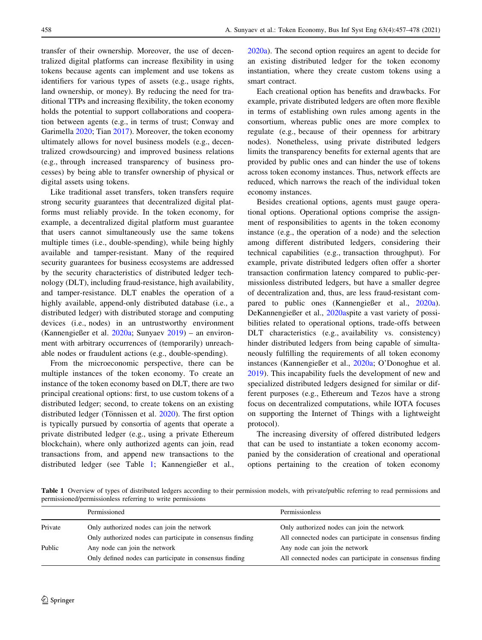transfer of their ownership. Moreover, the use of decentralized digital platforms can increase flexibility in using tokens because agents can implement and use tokens as identifiers for various types of assets (e.g., usage rights, land ownership, or money). By reducing the need for traditional TTPs and increasing flexibility, the token economy holds the potential to support collaborations and cooperation between agents (e.g., in terms of trust; Conway and Garimella [2020;](#page-19-0) Tian [2017\)](#page-21-0). Moreover, the token economy ultimately allows for novel business models (e.g., decentralized crowdsourcing) and improved business relations (e.g., through increased transparency of business processes) by being able to transfer ownership of physical or digital assets using tokens.

Like traditional asset transfers, token transfers require strong security guarantees that decentralized digital platforms must reliably provide. In the token economy, for example, a decentralized digital platform must guarantee that users cannot simultaneously use the same tokens multiple times (i.e., double-spending), while being highly available and tamper-resistant. Many of the required security guarantees for business ecosystems are addressed by the security characteristics of distributed ledger technology (DLT), including fraud-resistance, high availability, and tamper-resistance. DLT enables the operation of a highly available, append-only distributed database (i.e., a distributed ledger) with distributed storage and computing devices (i.e., nodes) in an untrustworthy environment (Kannengießer et al. [2020a;](#page-20-0) Sunyaev [2019\)](#page-21-0) – an environment with arbitrary occurrences of (temporarily) unreachable nodes or fraudulent actions (e.g., double-spending).

From the microeconomic perspective, there can be multiple instances of the token economy. To create an instance of the token economy based on DLT, there are two principal creational options: first, to use custom tokens of a distributed ledger; second, to create tokens on an existing distributed ledger (Tönnissen et al.  $2020$ ). The first option is typically pursued by consortia of agents that operate a private distributed ledger (e.g., using a private Ethereum blockchain), where only authorized agents can join, read transactions from, and append new transactions to the distributed ledger (see Table 1; Kannengießer et al., [2020a\)](#page-20-0). The second option requires an agent to decide for an existing distributed ledger for the token economy instantiation, where they create custom tokens using a smart contract.

Each creational option has benefits and drawbacks. For example, private distributed ledgers are often more flexible in terms of establishing own rules among agents in the consortium, whereas public ones are more complex to regulate (e.g., because of their openness for arbitrary nodes). Nonetheless, using private distributed ledgers limits the transparency benefits for external agents that are provided by public ones and can hinder the use of tokens across token economy instances. Thus, network effects are reduced, which narrows the reach of the individual token economy instances.

Besides creational options, agents must gauge operational options. Operational options comprise the assignment of responsibilities to agents in the token economy instance (e.g., the operation of a node) and the selection among different distributed ledgers, considering their technical capabilities (e.g., transaction throughput). For example, private distributed ledgers often offer a shorter transaction confirmation latency compared to public-permissionless distributed ledgers, but have a smaller degree of decentralization and, thus, are less fraud-resistant compared to public ones (Kannengießer et al., [2020a](#page-20-0)). DeKannengießer et al., [2020as](#page-20-0)pite a vast variety of possibilities related to operational options, trade-offs between DLT characteristics (e.g., availability vs. consistency) hinder distributed ledgers from being capable of simultaneously fulfilling the requirements of all token economy instances (Kannengießer et al., [2020a](#page-20-0); O'Donoghue et al. [2019](#page-20-0)). This incapability fuels the development of new and specialized distributed ledgers designed for similar or different purposes (e.g., Ethereum and Tezos have a strong focus on decentralized computations, while IOTA focuses on supporting the Internet of Things with a lightweight protocol).

The increasing diversity of offered distributed ledgers that can be used to instantiate a token economy accompanied by the consideration of creational and operational options pertaining to the creation of token economy

Table 1 Overview of types of distributed ledgers according to their permission models, with private/public referring to read permissions and permissioned/permissionless referring to write permissions

|         | Permissioned                                               | Permissionless                                           |
|---------|------------------------------------------------------------|----------------------------------------------------------|
| Private | Only authorized nodes can join the network                 | Only authorized nodes can join the network               |
|         | Only authorized nodes can participate in consensus finding | All connected nodes can participate in consensus finding |
| Public  | Any node can join the network                              | Any node can join the network                            |
|         | Only defined nodes can participate in consensus finding    | All connected nodes can participate in consensus finding |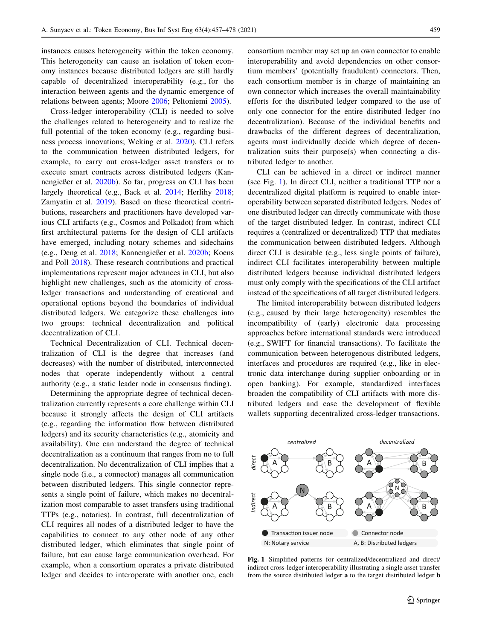instances causes heterogeneity within the token economy. This heterogeneity can cause an isolation of token economy instances because distributed ledgers are still hardly capable of decentralized interoperability (e.g., for the interaction between agents and the dynamic emergence of relations between agents; Moore [2006](#page-20-0); Peltoniemi [2005](#page-20-0)).

Cross-ledger interoperability (CLI) is needed to solve the challenges related to heterogeneity and to realize the full potential of the token economy (e.g., regarding business process innovations; Weking et al. [2020](#page-21-0)). CLI refers to the communication between distributed ledgers, for example, to carry out cross-ledger asset transfers or to execute smart contracts across distributed ledgers (Kannengießer et al. [2020b\)](#page-20-0). So far, progress on CLI has been largely theoretical (e.g., Back et al. [2014](#page-19-0); Herlihy [2018](#page-19-0); Zamyatin et al. [2019\)](#page-21-0). Based on these theoretical contributions, researchers and practitioners have developed various CLI artifacts (e.g., Cosmos and Polkadot) from which first architectural patterns for the design of CLI artifacts have emerged, including notary schemes and sidechains (e.g., Deng et al. [2018](#page-19-0); Kannengießer et al. [2020b](#page-20-0); Koens and Poll [2018](#page-20-0)). These research contributions and practical implementations represent major advances in CLI, but also highlight new challenges, such as the atomicity of crossledger transactions and understanding of creational and operational options beyond the boundaries of individual distributed ledgers. We categorize these challenges into two groups: technical decentralization and political decentralization of CLI.

Technical Decentralization of CLI. Technical decentralization of CLI is the degree that increases (and decreases) with the number of distributed, interconnected nodes that operate independently without a central authority (e.g., a static leader node in consensus finding).

Determining the appropriate degree of technical decentralization currently represents a core challenge within CLI because it strongly affects the design of CLI artifacts (e.g., regarding the information flow between distributed ledgers) and its security characteristics (e.g., atomicity and availability). One can understand the degree of technical decentralization as a continuum that ranges from no to full decentralization. No decentralization of CLI implies that a single node (i.e., a connector) manages all communication between distributed ledgers. This single connector represents a single point of failure, which makes no decentralization most comparable to asset transfers using traditional TTPs (e.g., notaries). In contrast, full decentralization of CLI requires all nodes of a distributed ledger to have the capabilities to connect to any other node of any other distributed ledger, which eliminates that single point of failure, but can cause large communication overhead. For example, when a consortium operates a private distributed ledger and decides to interoperate with another one, each consortium member may set up an own connector to enable interoperability and avoid dependencies on other consortium members' (potentially fraudulent) connectors. Then, each consortium member is in charge of maintaining an own connector which increases the overall maintainability efforts for the distributed ledger compared to the use of only one connector for the entire distributed ledger (no decentralization). Because of the individual benefits and drawbacks of the different degrees of decentralization, agents must individually decide which degree of decentralization suits their purpose(s) when connecting a distributed ledger to another.

CLI can be achieved in a direct or indirect manner (see Fig. 1). In direct CLI, neither a traditional TTP nor a decentralized digital platform is required to enable interoperability between separated distributed ledgers. Nodes of one distributed ledger can directly communicate with those of the target distributed ledger. In contrast, indirect CLI requires a (centralized or decentralized) TTP that mediates the communication between distributed ledgers. Although direct CLI is desirable (e.g., less single points of failure), indirect CLI facilitates interoperability between multiple distributed ledgers because individual distributed ledgers must only comply with the specifications of the CLI artifact instead of the specifications of all target distributed ledgers.

The limited interoperability between distributed ledgers (e.g., caused by their large heterogeneity) resembles the incompatibility of (early) electronic data processing approaches before international standards were introduced (e.g., SWIFT for financial transactions). To facilitate the communication between heterogenous distributed ledgers, interfaces and procedures are required (e.g., like in electronic data interchange during supplier onboarding or in open banking). For example, standardized interfaces broaden the compatibility of CLI artifacts with more distributed ledgers and ease the development of flexible wallets supporting decentralized cross-ledger transactions.



Fig. 1 Simplified patterns for centralized/decentralized and direct/ indirect cross-ledger interoperability illustrating a single asset transfer from the source distributed ledger a to the target distributed ledger b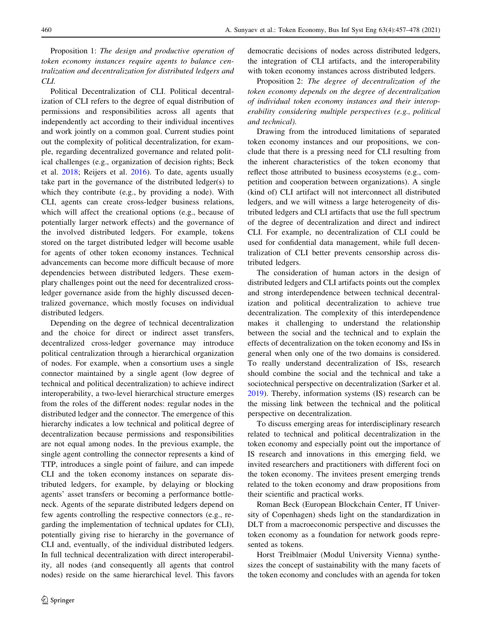Proposition 1: The design and productive operation of token economy instances require agents to balance centralization and decentralization for distributed ledgers and CLI.

Political Decentralization of CLI. Political decentralization of CLI refers to the degree of equal distribution of permissions and responsibilities across all agents that independently act according to their individual incentives and work jointly on a common goal. Current studies point out the complexity of political decentralization, for example, regarding decentralized governance and related political challenges (e.g., organization of decision rights; Beck et al. [2018](#page-19-0); Reijers et al. [2016\)](#page-20-0). To date, agents usually take part in the governance of the distributed ledger(s) to which they contribute (e.g., by providing a node). With CLI, agents can create cross-ledger business relations, which will affect the creational options (e.g., because of potentially larger network effects) and the governance of the involved distributed ledgers. For example, tokens stored on the target distributed ledger will become usable for agents of other token economy instances. Technical advancements can become more difficult because of more dependencies between distributed ledgers. These exemplary challenges point out the need for decentralized crossledger governance aside from the highly discussed decentralized governance, which mostly focuses on individual distributed ledgers.

Depending on the degree of technical decentralization and the choice for direct or indirect asset transfers, decentralized cross-ledger governance may introduce political centralization through a hierarchical organization of nodes. For example, when a consortium uses a single connector maintained by a single agent (low degree of technical and political decentralization) to achieve indirect interoperability, a two-level hierarchical structure emerges from the roles of the different nodes: regular nodes in the distributed ledger and the connector. The emergence of this hierarchy indicates a low technical and political degree of decentralization because permissions and responsibilities are not equal among nodes. In the previous example, the single agent controlling the connector represents a kind of TTP, introduces a single point of failure, and can impede CLI and the token economy instances on separate distributed ledgers, for example, by delaying or blocking agents' asset transfers or becoming a performance bottleneck. Agents of the separate distributed ledgers depend on few agents controlling the respective connectors (e.g., regarding the implementation of technical updates for CLI), potentially giving rise to hierarchy in the governance of CLI and, eventually, of the individual distributed ledgers. In full technical decentralization with direct interoperability, all nodes (and consequently all agents that control nodes) reside on the same hierarchical level. This favors democratic decisions of nodes across distributed ledgers, the integration of CLI artifacts, and the interoperability with token economy instances across distributed ledgers.

Proposition 2: The degree of decentralization of the token economy depends on the degree of decentralization of individual token economy instances and their interoperability considering multiple perspectives (e.g., political and technical).

Drawing from the introduced limitations of separated token economy instances and our propositions, we conclude that there is a pressing need for CLI resulting from the inherent characteristics of the token economy that reflect those attributed to business ecosystems (e.g., competition and cooperation between organizations). A single (kind of) CLI artifact will not interconnect all distributed ledgers, and we will witness a large heterogeneity of distributed ledgers and CLI artifacts that use the full spectrum of the degree of decentralization and direct and indirect CLI. For example, no decentralization of CLI could be used for confidential data management, while full decentralization of CLI better prevents censorship across distributed ledgers.

The consideration of human actors in the design of distributed ledgers and CLI artifacts points out the complex and strong interdependence between technical decentralization and political decentralization to achieve true decentralization. The complexity of this interdependence makes it challenging to understand the relationship between the social and the technical and to explain the effects of decentralization on the token economy and ISs in general when only one of the two domains is considered. To really understand decentralization of ISs, research should combine the social and the technical and take a sociotechnical perspective on decentralization (Sarker et al. [2019](#page-20-0)). Thereby, information systems (IS) research can be the missing link between the technical and the political perspective on decentralization.

To discuss emerging areas for interdisciplinary research related to technical and political decentralization in the token economy and especially point out the importance of IS research and innovations in this emerging field, we invited researchers and practitioners with different foci on the token economy. The invitees present emerging trends related to the token economy and draw propositions from their scientific and practical works.

Roman Beck (European Blockchain Center, IT University of Copenhagen) sheds light on the standardization in DLT from a macroeconomic perspective and discusses the token economy as a foundation for network goods represented as tokens.

Horst Treiblmaier (Modul University Vienna) synthesizes the concept of sustainability with the many facets of the token economy and concludes with an agenda for token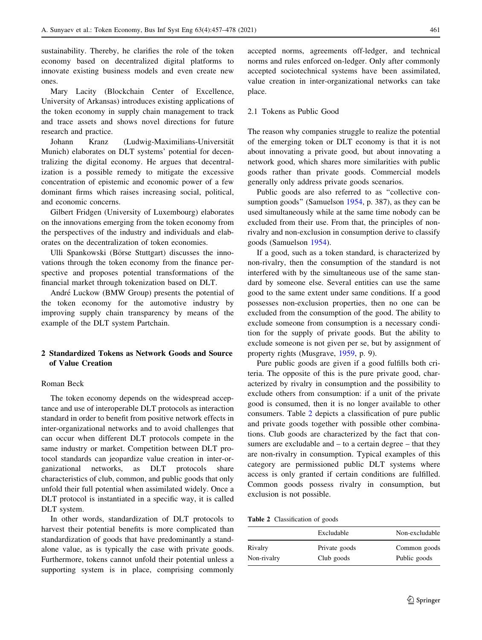<span id="page-4-0"></span>sustainability. Thereby, he clarifies the role of the token economy based on decentralized digital platforms to innovate existing business models and even create new ones.

Mary Lacity (Blockchain Center of Excellence, University of Arkansas) introduces existing applications of the token economy in supply chain management to track and trace assets and shows novel directions for future research and practice.

Johann Kranz (Ludwig-Maximilians-Universität Munich) elaborates on DLT systems' potential for decentralizing the digital economy. He argues that decentralization is a possible remedy to mitigate the excessive concentration of epistemic and economic power of a few dominant firms which raises increasing social, political, and economic concerns.

Gilbert Fridgen (University of Luxembourg) elaborates on the innovations emerging from the token economy from the perspectives of the industry and individuals and elaborates on the decentralization of token economies.

Ulli Spankowski (Börse Stuttgart) discusses the innovations through the token economy from the finance perspective and proposes potential transformations of the financial market through tokenization based on DLT.

André Luckow (BMW Group) presents the potential of the token economy for the automotive industry by improving supply chain transparency by means of the example of the DLT system Partchain.

# 2 Standardized Tokens as Network Goods and Source of Value Creation

#### Roman Beck

The token economy depends on the widespread acceptance and use of interoperable DLT protocols as interaction standard in order to benefit from positive network effects in inter-organizational networks and to avoid challenges that can occur when different DLT protocols compete in the same industry or market. Competition between DLT protocol standards can jeopardize value creation in inter-organizational networks, as DLT protocols share characteristics of club, common, and public goods that only unfold their full potential when assimilated widely. Once a DLT protocol is instantiated in a specific way, it is called DLT system.

In other words, standardization of DLT protocols to harvest their potential benefits is more complicated than standardization of goods that have predominantly a standalone value, as is typically the case with private goods. Furthermore, tokens cannot unfold their potential unless a supporting system is in place, comprising commonly

accepted norms, agreements off-ledger, and technical norms and rules enforced on-ledger. Only after commonly accepted sociotechnical systems have been assimilated, value creation in inter-organizational networks can take place.

#### 2.1 Tokens as Public Good

The reason why companies struggle to realize the potential of the emerging token or DLT economy is that it is not about innovating a private good, but about innovating a network good, which shares more similarities with public goods rather than private goods. Commercial models generally only address private goods scenarios.

Public goods are also referred to as ''collective consumption goods'' (Samuelson [1954](#page-20-0), p. 387), as they can be used simultaneously while at the same time nobody can be excluded from their use. From that, the principles of nonrivalry and non-exclusion in consumption derive to classify goods (Samuelson [1954\)](#page-20-0).

If a good, such as a token standard, is characterized by non-rivalry, then the consumption of the standard is not interfered with by the simultaneous use of the same standard by someone else. Several entities can use the same good to the same extent under same conditions. If a good possesses non-exclusion properties, then no one can be excluded from the consumption of the good. The ability to exclude someone from consumption is a necessary condition for the supply of private goods. But the ability to exclude someone is not given per se, but by assignment of property rights (Musgrave, [1959](#page-20-0), p. 9).

Pure public goods are given if a good fulfills both criteria. The opposite of this is the pure private good, characterized by rivalry in consumption and the possibility to exclude others from consumption: if a unit of the private good is consumed, then it is no longer available to other consumers. Table 2 depicts a classification of pure public and private goods together with possible other combinations. Club goods are characterized by the fact that consumers are excludable and  $-$  to a certain degree  $-$  that they are non-rivalry in consumption. Typical examples of this category are permissioned public DLT systems where access is only granted if certain conditions are fulfilled. Common goods possess rivalry in consumption, but exclusion is not possible.

Table 2 Classification of goods

|             | Excludable    | Non-excludable |
|-------------|---------------|----------------|
| Rivalry     | Private goods | Common goods   |
| Non-rivalry | Club goods    | Public goods   |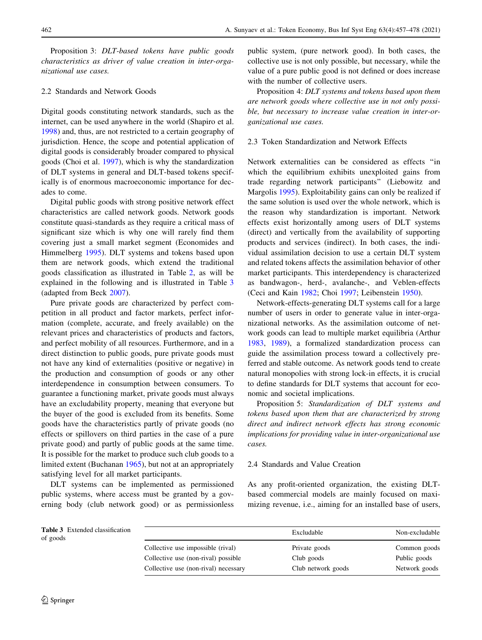Proposition 3: DLT-based tokens have public goods characteristics as driver of value creation in inter-organizational use cases.

# 2.2 Standards and Network Goods

Digital goods constituting network standards, such as the internet, can be used anywhere in the world (Shapiro et al. [1998\)](#page-21-0) and, thus, are not restricted to a certain geography of jurisdiction. Hence, the scope and potential application of digital goods is considerably broader compared to physical goods (Choi et al. [1997\)](#page-19-0), which is why the standardization of DLT systems in general and DLT-based tokens specifically is of enormous macroeconomic importance for decades to come.

Digital public goods with strong positive network effect characteristics are called network goods. Network goods constitute quasi-standards as they require a critical mass of significant size which is why one will rarely find them covering just a small market segment (Economides and Himmelberg [1995\)](#page-19-0). DLT systems and tokens based upon them are network goods, which extend the traditional goods classification as illustrated in Table [2,](#page-4-0) as will be explained in the following and is illustrated in Table 3 (adapted from Beck [2007\)](#page-19-0).

Pure private goods are characterized by perfect competition in all product and factor markets, perfect information (complete, accurate, and freely available) on the relevant prices and characteristics of products and factors, and perfect mobility of all resources. Furthermore, and in a direct distinction to public goods, pure private goods must not have any kind of externalities (positive or negative) in the production and consumption of goods or any other interdependence in consumption between consumers. To guarantee a functioning market, private goods must always have an excludability property, meaning that everyone but the buyer of the good is excluded from its benefits. Some goods have the characteristics partly of private goods (no effects or spillovers on third parties in the case of a pure private good) and partly of public goods at the same time. It is possible for the market to produce such club goods to a limited extent (Buchanan [1965\)](#page-19-0), but not at an appropriately satisfying level for all market participants.

DLT systems can be implemented as permissioned public systems, where access must be granted by a governing body (club network good) or as permissionless public system, (pure network good). In both cases, the collective use is not only possible, but necessary, while the value of a pure public good is not defined or does increase with the number of collective users.

Proposition 4: DLT systems and tokens based upon them are network goods where collective use in not only possible, but necessary to increase value creation in inter-organizational use cases.

### 2.3 Token Standardization and Network Effects

Network externalities can be considered as effects ''in which the equilibrium exhibits unexploited gains from trade regarding network participants'' (Liebowitz and Margolis [1995\)](#page-20-0). Exploitability gains can only be realized if the same solution is used over the whole network, which is the reason why standardization is important. Network effects exist horizontally among users of DLT systems (direct) and vertically from the availability of supporting products and services (indirect). In both cases, the individual assimilation decision to use a certain DLT system and related tokens affects the assimilation behavior of other market participants. This interdependency is characterized as bandwagon-, herd-, avalanche-, and Veblen-effects (Ceci and Kain [1982;](#page-19-0) Choi [1997;](#page-19-0) Leibenstein [1950\)](#page-20-0).

Network-effects-generating DLT systems call for a large number of users in order to generate value in inter-organizational networks. As the assimilation outcome of network goods can lead to multiple market equilibria (Arthur [1983](#page-19-0), [1989\)](#page-19-0), a formalized standardization process can guide the assimilation process toward a collectively preferred and stable outcome. As network goods tend to create natural monopolies with strong lock-in effects, it is crucial to define standards for DLT systems that account for economic and societal implications.

Proposition 5: Standardization of DLT systems and tokens based upon them that are characterized by strong direct and indirect network effects has strong economic implications for providing value in inter-organizational use cases.

# 2.4 Standards and Value Creation

As any profit-oriented organization, the existing DLTbased commercial models are mainly focused on maximizing revenue, i.e., aiming for an installed base of users,

| <b>Table 3</b> Extended classification<br>of goods |                                      | Excludable         | Non-excludable |
|----------------------------------------------------|--------------------------------------|--------------------|----------------|
|                                                    | Collective use impossible (rival)    | Private goods      | Common goods   |
|                                                    | Collective use (non-rival) possible  | Club goods         | Public goods   |
|                                                    | Collective use (non-rival) necessary | Club network goods | Network goods  |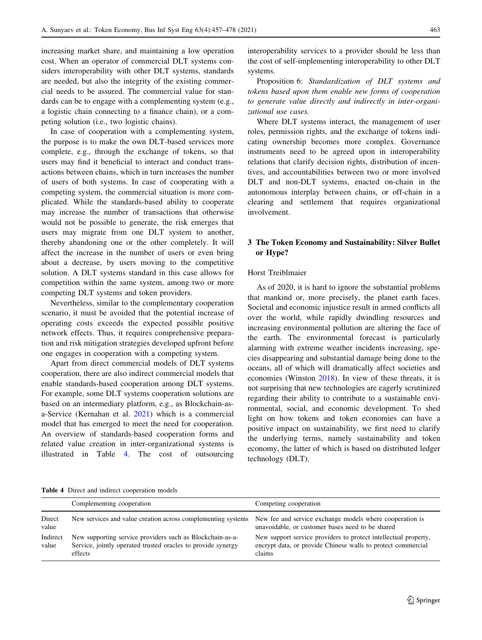increasing market share, and maintaining a low operation cost. When an operator of commercial DLT systems considers interoperability with other DLT systems, standards are needed, but also the integrity of the existing commercial needs to be assured. The commercial value for standards can be to engage with a complementing system (e.g., a logistic chain connecting to a finance chain), or a competing solution (i.e., two logistic chains).

In case of cooperation with a complementing system, the purpose is to make the own DLT-based services more complete, e.g., through the exchange of tokens, so that users may find it beneficial to interact and conduct transactions between chains, which in turn increases the number of users of both systems. In case of cooperating with a competing system, the commercial situation is more complicated. While the standards-based ability to cooperate may increase the number of transactions that otherwise would not be possible to generate, the risk emerges that users may migrate from one DLT system to another, thereby abandoning one or the other completely. It will affect the increase in the number of users or even bring about a decrease, by users moving to the competitive solution. A DLT systems standard in this case allows for competition within the same system, among two or more competing DLT systems and token providers.

Nevertheless, similar to the complementary cooperation scenario, it must be avoided that the potential increase of operating costs exceeds the expected possible positive network effects. Thus, it requires comprehensive preparation and risk mitigation strategies developed upfront before one engages in cooperation with a competing system.

Apart from direct commercial models of DLT systems cooperation, there are also indirect commercial models that enable standards-based cooperation among DLT systems. For example, some DLT systems cooperation solutions are based on an intermediary platform, e.g., as Blockchain-asa-Service (Kernahan et al. [2021](#page-20-0)) which is a commercial model that has emerged to meet the need for cooperation. An overview of standards-based cooperation forms and related value creation in inter-organizational systems is illustrated in Table 4. The cost of outsourcing interoperability services to a provider should be less than the cost of self-implementing interoperability to other DLT systems.

Proposition 6: Standardization of DLT systems and tokens based upon them enable new forms of cooperation to generate value directly and indirectly in inter-organizational use cases.

Where DLT systems interact, the management of user roles, permission rights, and the exchange of tokens indicating ownership becomes more complex. Governance instruments need to be agreed upon in interoperability relations that clarify decision rights, distribution of incentives, and accountabilities between two or more involved DLT and non-DLT systems, enacted on-chain in the autonomous interplay between chains, or off-chain in a clearing and settlement that requires organizational involvement.

## 3 The Token Economy and Sustainability: Silver Bullet or Hype?

### Horst Treiblmaier

As of 2020, it is hard to ignore the substantial problems that mankind or, more precisely, the planet earth faces. Societal and economic injustice result in armed conflicts all over the world, while rapidly dwindling resources and increasing environmental pollution are altering the face of the earth. The environmental forecast is particularly alarming with extreme weather incidents increasing, species disappearing and substantial damage being done to the oceans, all of which will dramatically affect societies and economies (Winston [2018\)](#page-21-0). In view of these threats, it is not surprising that new technologies are eagerly scrutinized regarding their ability to contribute to a sustainable environmental, social, and economic development. To shed light on how tokens and token economies can have a positive impact on sustainability, we first need to clarify the underlying terms, namely sustainability and token economy, the latter of which is based on distributed ledger technology (DLT).

Table 4 Direct and indirect cooperation models

|                   | Complementing cooperation                                                                                                            | Competing cooperation                                                                                                                     |
|-------------------|--------------------------------------------------------------------------------------------------------------------------------------|-------------------------------------------------------------------------------------------------------------------------------------------|
| Direct<br>value   | New services and value creation across complementing systems                                                                         | New fee and service exchange models where cooperation is<br>unavoidable, or customer bases need to be shared                              |
| Indirect<br>value | New supporting service providers such as Blockchain-as-a-<br>Service, jointly operated trusted oracles to provide synergy<br>effects | New support service providers to protect intellectual property,<br>encrypt data, or provide Chinese walls to protect commercial<br>claims |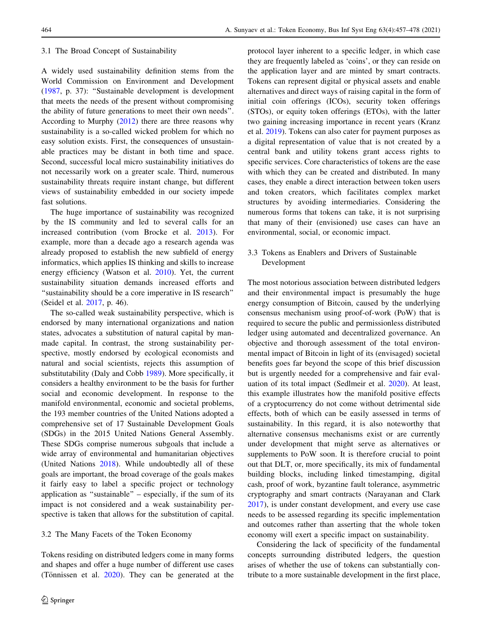#### 3.1 The Broad Concept of Sustainability

A widely used sustainability definition stems from the World Commission on Environment and Development [\(1987](#page-21-0), p. 37): ''Sustainable development is development that meets the needs of the present without compromising the ability of future generations to meet their own needs''. According to Murphy ([2012\)](#page-20-0) there are three reasons why sustainability is a so-called wicked problem for which no easy solution exists. First, the consequences of unsustainable practices may be distant in both time and space. Second, successful local micro sustainability initiatives do not necessarily work on a greater scale. Third, numerous sustainability threats require instant change, but different views of sustainability embedded in our society impede fast solutions.

The huge importance of sustainability was recognized by the IS community and led to several calls for an increased contribution (vom Brocke et al. [2013](#page-21-0)). For example, more than a decade ago a research agenda was already proposed to establish the new subfield of energy informatics, which applies IS thinking and skills to increase energy efficiency (Watson et al. [2010\)](#page-21-0). Yet, the current sustainability situation demands increased efforts and ''sustainability should be a core imperative in IS research'' (Seidel et al. [2017](#page-20-0), p. 46).

The so-called weak sustainability perspective, which is endorsed by many international organizations and nation states, advocates a substitution of natural capital by manmade capital. In contrast, the strong sustainability perspective, mostly endorsed by ecological economists and natural and social scientists, rejects this assumption of substitutability (Daly and Cobb [1989](#page-19-0)). More specifically, it considers a healthy environment to be the basis for further social and economic development. In response to the manifold environmental, economic and societal problems, the 193 member countries of the United Nations adopted a comprehensive set of 17 Sustainable Development Goals (SDGs) in the 2015 United Nations General Assembly. These SDGs comprise numerous subgoals that include a wide array of environmental and humanitarian objectives (United Nations [2018](#page-21-0)). While undoubtedly all of these goals are important, the broad coverage of the goals makes it fairly easy to label a specific project or technology application as ''sustainable'' – especially, if the sum of its impact is not considered and a weak sustainability perspective is taken that allows for the substitution of capital.

### 3.2 The Many Facets of the Token Economy

Tokens residing on distributed ledgers come in many forms and shapes and offer a huge number of different use cases (Tönnissen et al.  $2020$ ). They can be generated at the protocol layer inherent to a specific ledger, in which case they are frequently labeled as 'coins', or they can reside on the application layer and are minted by smart contracts. Tokens can represent digital or physical assets and enable alternatives and direct ways of raising capital in the form of initial coin offerings (ICOs), security token offerings (STOs), or equity token offerings (ETOs), with the latter two gaining increasing importance in recent years (Kranz et al. [2019](#page-20-0)). Tokens can also cater for payment purposes as a digital representation of value that is not created by a central bank and utility tokens grant access rights to specific services. Core characteristics of tokens are the ease with which they can be created and distributed. In many cases, they enable a direct interaction between token users and token creators, which facilitates complex market structures by avoiding intermediaries. Considering the numerous forms that tokens can take, it is not surprising that many of their (envisioned) use cases can have an environmental, social, or economic impact.

### 3.3 Tokens as Enablers and Drivers of Sustainable Development

The most notorious association between distributed ledgers and their environmental impact is presumably the huge energy consumption of Bitcoin, caused by the underlying consensus mechanism using proof-of-work (PoW) that is required to secure the public and permissionless distributed ledger using automated and decentralized governance. An objective and thorough assessment of the total environmental impact of Bitcoin in light of its (envisaged) societal benefits goes far beyond the scope of this brief discussion but is urgently needed for a comprehensive and fair evaluation of its total impact (Sedlmeir et al. [2020](#page-20-0)). At least, this example illustrates how the manifold positive effects of a cryptocurrency do not come without detrimental side effects, both of which can be easily assessed in terms of sustainability. In this regard, it is also noteworthy that alternative consensus mechanisms exist or are currently under development that might serve as alternatives or supplements to PoW soon. It is therefore crucial to point out that DLT, or, more specifically, its mix of fundamental building blocks, including linked timestamping, digital cash, proof of work, byzantine fault tolerance, asymmetric cryptography and smart contracts (Narayanan and Clark [2017](#page-20-0)), is under constant development, and every use case needs to be assessed regarding its specific implementation and outcomes rather than asserting that the whole token economy will exert a specific impact on sustainability.

Considering the lack of specificity of the fundamental concepts surrounding distributed ledgers, the question arises of whether the use of tokens can substantially contribute to a more sustainable development in the first place,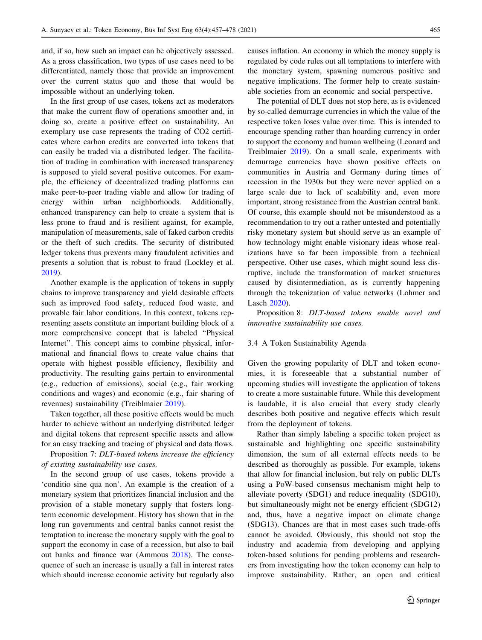and, if so, how such an impact can be objectively assessed. As a gross classification, two types of use cases need to be differentiated, namely those that provide an improvement over the current status quo and those that would be impossible without an underlying token.

In the first group of use cases, tokens act as moderators that make the current flow of operations smoother and, in doing so, create a positive effect on sustainability. An exemplary use case represents the trading of CO2 certificates where carbon credits are converted into tokens that can easily be traded via a distributed ledger. The facilitation of trading in combination with increased transparency is supposed to yield several positive outcomes. For example, the efficiency of decentralized trading platforms can make peer-to-peer trading viable and allow for trading of energy within urban neighborhoods. Additionally, enhanced transparency can help to create a system that is less prone to fraud and is resilient against, for example, manipulation of measurements, sale of faked carbon credits or the theft of such credits. The security of distributed ledger tokens thus prevents many fraudulent activities and presents a solution that is robust to fraud (Lockley et al. [2019\)](#page-20-0).

Another example is the application of tokens in supply chains to improve transparency and yield desirable effects such as improved food safety, reduced food waste, and provable fair labor conditions. In this context, tokens representing assets constitute an important building block of a more comprehensive concept that is labeled ''Physical Internet''. This concept aims to combine physical, informational and financial flows to create value chains that operate with highest possible efficiency, flexibility and productivity. The resulting gains pertain to environmental (e.g., reduction of emissions), social (e.g., fair working conditions and wages) and economic (e.g., fair sharing of revenues) sustainability (Treiblmaier [2019](#page-21-0)).

Taken together, all these positive effects would be much harder to achieve without an underlying distributed ledger and digital tokens that represent specific assets and allow for an easy tracking and tracing of physical and data flows.

Proposition 7: DLT-based tokens increase the efficiency of existing sustainability use cases.

In the second group of use cases, tokens provide a 'conditio sine qua non'. An example is the creation of a monetary system that prioritizes financial inclusion and the provision of a stable monetary supply that fosters longterm economic development. History has shown that in the long run governments and central banks cannot resist the temptation to increase the monetary supply with the goal to support the economy in case of a recession, but also to bail out banks and finance war (Ammous [2018\)](#page-19-0). The consequence of such an increase is usually a fall in interest rates which should increase economic activity but regularly also causes inflation. An economy in which the money supply is regulated by code rules out all temptations to interfere with the monetary system, spawning numerous positive and negative implications. The former help to create sustainable societies from an economic and social perspective.

The potential of DLT does not stop here, as is evidenced by so-called demurrage currencies in which the value of the respective token loses value over time. This is intended to encourage spending rather than hoarding currency in order to support the economy and human wellbeing (Leonard and Treiblmaier [2019\)](#page-20-0). On a small scale, experiments with demurrage currencies have shown positive effects on communities in Austria and Germany during times of recession in the 1930s but they were never applied on a large scale due to lack of scalability and, even more important, strong resistance from the Austrian central bank. Of course, this example should not be misunderstood as a recommendation to try out a rather untested and potentially risky monetary system but should serve as an example of how technology might enable visionary ideas whose realizations have so far been impossible from a technical perspective. Other use cases, which might sound less disruptive, include the transformation of market structures caused by disintermediation, as is currently happening through the tokenization of value networks (Lohmer and Lasch [2020](#page-20-0)).

Proposition 8: DLT-based tokens enable novel and innovative sustainability use cases.

### 3.4 A Token Sustainability Agenda

Given the growing popularity of DLT and token economies, it is foreseeable that a substantial number of upcoming studies will investigate the application of tokens to create a more sustainable future. While this development is laudable, it is also crucial that every study clearly describes both positive and negative effects which result from the deployment of tokens.

Rather than simply labeling a specific token project as sustainable and highlighting one specific sustainability dimension, the sum of all external effects needs to be described as thoroughly as possible. For example, tokens that allow for financial inclusion, but rely on public DLTs using a PoW-based consensus mechanism might help to alleviate poverty (SDG1) and reduce inequality (SDG10), but simultaneously might not be energy efficient (SDG12) and, thus, have a negative impact on climate change (SDG13). Chances are that in most cases such trade-offs cannot be avoided. Obviously, this should not stop the industry and academia from developing and applying token-based solutions for pending problems and researchers from investigating how the token economy can help to improve sustainability. Rather, an open and critical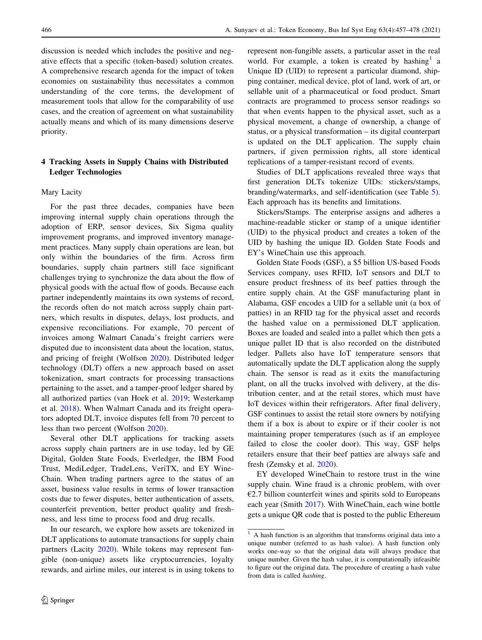discussion is needed which includes the positive and negative effects that a specific (token-based) solution creates. A comprehensive research agenda for the impact of token economies on sustainability thus necessitates a common understanding of the core terms, the development of measurement tools that allow for the comparability of use cases, and the creation of agreement on what sustainability actually means and which of its many dimensions deserve priority.

# 4 Tracking Assets in Supply Chains with Distributed Ledger Technologies

#### Mary Lacity

For the past three decades, companies have been improving internal supply chain operations through the adoption of ERP, sensor devices, Six Sigma quality improvement programs, and improved inventory management practices. Many supply chain operations are lean, but only within the boundaries of the firm. Across firm boundaries, supply chain partners still face significant challenges trying to synchronize the data about the flow of physical goods with the actual flow of goods. Because each partner independently maintains its own systems of record, the records often do not match across supply chain partners, which results in disputes, delays, lost products, and expensive reconciliations. For example, 70 percent of invoices among Walmart Canada's freight carriers were disputed due to inconsistent data about the location, status, and pricing of freight (Wolfson [2020\)](#page-21-0). Distributed ledger technology (DLT) offers a new approach based on asset tokenization, smart contracts for processing transactions pertaining to the asset, and a tamper-proof ledger shared by all authorized parties (van Hoek et al. [2019](#page-19-0); Westerkamp et al. [2018\)](#page-21-0). When Walmart Canada and its freight operators adopted DLT, invoice disputes fell from 70 percent to less than two percent (Wolfson [2020](#page-21-0)).

Several other DLT applications for tracking assets across supply chain partners are in use today, led by GE Digital, Golden State Foods, Everledger, the IBM Food Trust, MediLedger, TradeLens, VeriTX, and EY Wine-Chain. When trading partners agree to the status of an asset, business value results in terms of lower transaction costs due to fewer disputes, better authentication of assets, counterfeit prevention, better product quality and freshness, and less time to process food and drug recalls.

In our research, we explore how assets are tokenized in DLT applications to automate transactions for supply chain partners (Lacity [2020\)](#page-20-0). While tokens may represent fungible (non-unique) assets like cryptocurrencies, loyalty rewards, and airline miles, our interest is in using tokens to represent non-fungible assets, a particular asset in the real world. For example, a token is created by hashing<sup>1</sup> a Unique ID (UID) to represent a particular diamond, shipping container, medical device, plot of land, work of art, or sellable unit of a pharmaceutical or food product. Smart contracts are programmed to process sensor readings so that when events happen to the physical asset, such as a physical movement, a change of ownership, a change of status, or a physical transformation – its digital counterpart is updated on the DLT application. The supply chain partners, if given permission rights, all store identical replications of a tamper-resistant record of events.

Studies of DLT applications revealed three ways that first generation DLTs tokenize UIDs: stickers/stamps, branding/watermarks, and self-identification (see Table [5](#page-10-0)). Each approach has its benefits and limitations.

Stickers/Stamps. The enterprise assigns and adheres a machine-readable sticker or stamp of a unique identifier (UID) to the physical product and creates a token of the UID by hashing the unique ID. Golden State Foods and EY's WineChain use this approach.

Golden State Foods (GSF), a \$5 billion US-based Foods Services company, uses RFID, IoT sensors and DLT to ensure product freshness of its beef patties through the entire supply chain. At the GSF manufacturing plant in Alabama, GSF encodes a UID for a sellable unit (a box of patties) in an RFID tag for the physical asset and records the hashed value on a permissioned DLT application. Boxes are loaded and sealed into a pallet which then gets a unique pallet ID that is also recorded on the distributed ledger. Pallets also have IoT temperature sensors that automatically update the DLT application along the supply chain. The sensor is read as it exits the manufacturing plant, on all the trucks involved with delivery, at the distribution center, and at the retail stores, which must have IoT devices within their refrigerators. After final delivery, GSF continues to assist the retail store owners by notifying them if a box is about to expire or if their cooler is not maintaining proper temperatures (such as if an employee failed to close the cooler door). This way, GSF helps retailers ensure that their beef patties are always safe and fresh (Zemsky et al. [2020\)](#page-21-0).

EY developed WineChain to restore trust in the wine supply chain. Wine fraud is a chronic problem, with over  $E2.7$  billion counterfeit wines and spirits sold to Europeans each year (Smith [2017\)](#page-21-0). With WineChain, each wine bottle gets a unique QR code that is posted to the public Ethereum

 $<sup>1</sup>$  A hash function is an algorithm that transforms original data into a</sup> unique number (referred to as hash value). A hash function only works one-way so that the original data will always produce that unique number. Given the hash value, it is computationally infeasible to figure out the original data. The procedure of creating a hash value from data is called hashing.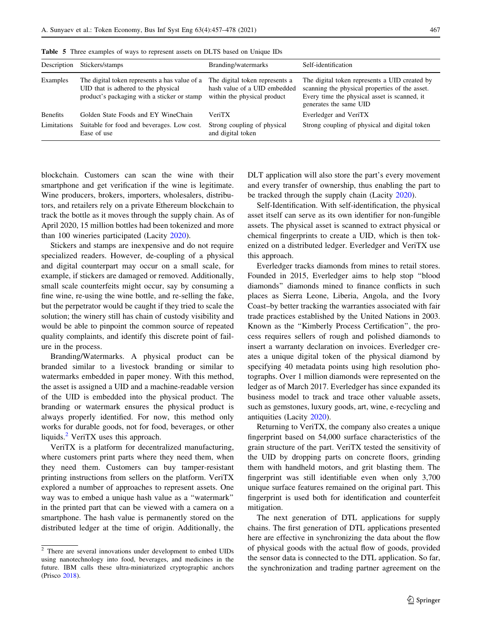| Description     | Stickers/stamps                                                                                                                     | Branding/watermarks                                                                           | Self-identification                                                                                                                                                       |
|-----------------|-------------------------------------------------------------------------------------------------------------------------------------|-----------------------------------------------------------------------------------------------|---------------------------------------------------------------------------------------------------------------------------------------------------------------------------|
| Examples        | The digital token represents a has value of a<br>UID that is adhered to the physical<br>product's packaging with a sticker or stamp | The digital token represents a<br>hash value of a UID embedded<br>within the physical product | The digital token represents a UID created by<br>scanning the physical properties of the asset.<br>Every time the physical asset is scanned, it<br>generates the same UID |
| <b>Benefits</b> | Golden State Foods and EY WineChain                                                                                                 | VeriTX                                                                                        | Everledger and VeriTX                                                                                                                                                     |
| Limitations     | Suitable for food and beverages. Low cost.<br>Ease of use                                                                           | Strong coupling of physical<br>and digital token                                              | Strong coupling of physical and digital token                                                                                                                             |

<span id="page-10-0"></span>Table 5 Three examples of ways to represent assets on DLTS based on Unique IDs

blockchain. Customers can scan the wine with their smartphone and get verification if the wine is legitimate. Wine producers, brokers, importers, wholesalers, distributors, and retailers rely on a private Ethereum blockchain to track the bottle as it moves through the supply chain. As of April 2020, 15 million bottles had been tokenized and more than 100 wineries participated (Lacity [2020](#page-20-0)).

Stickers and stamps are inexpensive and do not require specialized readers. However, de-coupling of a physical and digital counterpart may occur on a small scale, for example, if stickers are damaged or removed. Additionally, small scale counterfeits might occur, say by consuming a fine wine, re-using the wine bottle, and re-selling the fake, but the perpetrator would be caught if they tried to scale the solution; the winery still has chain of custody visibility and would be able to pinpoint the common source of repeated quality complaints, and identify this discrete point of failure in the process.

Branding/Watermarks. A physical product can be branded similar to a livestock branding or similar to watermarks embedded in paper money. With this method, the asset is assigned a UID and a machine-readable version of the UID is embedded into the physical product. The branding or watermark ensures the physical product is always properly identified. For now, this method only works for durable goods, not for food, beverages, or other liquids. $2$  VeriTX uses this approach.

VeriTX is a platform for decentralized manufacturing, where customers print parts where they need them, when they need them. Customers can buy tamper-resistant printing instructions from sellers on the platform. VeriTX explored a number of approaches to represent assets. One way was to embed a unique hash value as a ''watermark'' in the printed part that can be viewed with a camera on a smartphone. The hash value is permanently stored on the distributed ledger at the time of origin. Additionally, the DLT application will also store the part's every movement and every transfer of ownership, thus enabling the part to be tracked through the supply chain (Lacity [2020](#page-20-0)).

Self-Identification. With self-identification, the physical asset itself can serve as its own identifier for non-fungible assets. The physical asset is scanned to extract physical or chemical fingerprints to create a UID, which is then tokenized on a distributed ledger. Everledger and VeriTX use this approach.

Everledger tracks diamonds from mines to retail stores. Founded in 2015, Everledger aims to help stop ''blood diamonds'' diamonds mined to finance conflicts in such places as Sierra Leone, Liberia, Angola, and the Ivory Coast–by better tracking the warranties associated with fair trade practices established by the United Nations in 2003. Known as the ''Kimberly Process Certification'', the process requires sellers of rough and polished diamonds to insert a warranty declaration on invoices. Everledger creates a unique digital token of the physical diamond by specifying 40 metadata points using high resolution photographs. Over 1 million diamonds were represented on the ledger as of March 2017. Everledger has since expanded its business model to track and trace other valuable assets, such as gemstones, luxury goods, art, wine, e-recycling and antiquities (Lacity [2020\)](#page-20-0).

Returning to VeriTX, the company also creates a unique fingerprint based on 54,000 surface characteristics of the grain structure of the part. VeriTX tested the sensitivity of the UID by dropping parts on concrete floors, grinding them with handheld motors, and grit blasting them. The fingerprint was still identifiable even when only 3,700 unique surface features remained on the original part. This fingerprint is used both for identification and counterfeit mitigation.

The next generation of DTL applications for supply chains. The first generation of DTL applications presented here are effective in synchronizing the data about the flow of physical goods with the actual flow of goods, provided the sensor data is connected to the DTL application. So far, the synchronization and trading partner agreement on the

 $\frac{2}{3}$  There are several innovations under development to embed UIDs using nanotechnology into food, beverages, and medicines in the future. IBM calls these ultra-miniaturized cryptographic anchors (Prisco [2018\)](#page-20-0).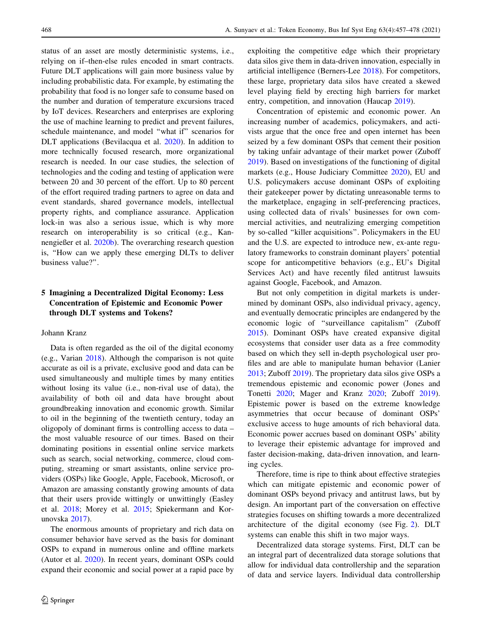status of an asset are mostly deterministic systems, i.e., relying on if–then-else rules encoded in smart contracts. Future DLT applications will gain more business value by including probabilistic data. For example, by estimating the probability that food is no longer safe to consume based on the number and duration of temperature excursions traced by IoT devices. Researchers and enterprises are exploring the use of machine learning to predict and prevent failures, schedule maintenance, and model ''what if'' scenarios for DLT applications (Bevilacqua et al. [2020](#page-19-0)). In addition to more technically focused research, more organizational research is needed. In our case studies, the selection of technologies and the coding and testing of application were between 20 and 30 percent of the effort. Up to 80 percent of the effort required trading partners to agree on data and event standards, shared governance models, intellectual property rights, and compliance assurance. Application lock-in was also a serious issue, which is why more research on interoperability is so critical (e.g., Kannengießer et al. [2020b](#page-20-0)). The overarching research question is, ''How can we apply these emerging DLTs to deliver business value?''.

# 5 Imagining a Decentralized Digital Economy: Less Concentration of Epistemic and Economic Power through DLT systems and Tokens?

#### Johann Kranz

Data is often regarded as the oil of the digital economy (e.g., Varian [2018\)](#page-21-0). Although the comparison is not quite accurate as oil is a private, exclusive good and data can be used simultaneously and multiple times by many entities without losing its value (i.e., non-rival use of data), the availability of both oil and data have brought about groundbreaking innovation and economic growth. Similar to oil in the beginning of the twentieth century, today an oligopoly of dominant firms is controlling access to data – the most valuable resource of our times. Based on their dominating positions in essential online service markets such as search, social networking, commerce, cloud computing, streaming or smart assistants, online service providers (OSPs) like Google, Apple, Facebook, Microsoft, or Amazon are amassing constantly growing amounts of data that their users provide wittingly or unwittingly (Easley et al. [2018](#page-19-0); Morey et al. [2015;](#page-20-0) Spiekermann and Korunovska [2017\)](#page-21-0).

The enormous amounts of proprietary and rich data on consumer behavior have served as the basis for dominant OSPs to expand in numerous online and offline markets (Autor et al. [2020\)](#page-19-0). In recent years, dominant OSPs could expand their economic and social power at a rapid pace by

exploiting the competitive edge which their proprietary data silos give them in data-driven innovation, especially in artificial intelligence (Berners-Lee [2018\)](#page-19-0). For competitors, these large, proprietary data silos have created a skewed level playing field by erecting high barriers for market entry, competition, and innovation (Haucap [2019](#page-19-0)).

Concentration of epistemic and economic power. An increasing number of academics, policymakers, and activists argue that the once free and open internet has been seized by a few dominant OSPs that cement their position by taking unfair advantage of their market power (Zuboff [2019](#page-21-0)). Based on investigations of the functioning of digital markets (e.g., House Judiciary Committee [2020](#page-19-0)), EU and U.S. policymakers accuse dominant OSPs of exploiting their gatekeeper power by dictating unreasonable terms to the marketplace, engaging in self-preferencing practices, using collected data of rivals' businesses for own commercial activities, and neutralizing emerging competition by so-called ''killer acquisitions''. Policymakers in the EU and the U.S. are expected to introduce new, ex-ante regulatory frameworks to constrain dominant players' potential scope for anticompetitive behaviors (e.g., EU's Digital Services Act) and have recently filed antitrust lawsuits against Google, Facebook, and Amazon.

But not only competition in digital markets is undermined by dominant OSPs, also individual privacy, agency, and eventually democratic principles are endangered by the economic logic of ''surveillance capitalism'' (Zuboff [2015](#page-21-0)). Dominant OSPs have created expansive digital ecosystems that consider user data as a free commodity based on which they sell in-depth psychological user profiles and are able to manipulate human behavior (Lanier [2013](#page-20-0); Zuboff [2019\)](#page-21-0). The proprietary data silos give OSPs a tremendous epistemic and economic power (Jones and Tonetti [2020;](#page-20-0) Mager and Kranz [2020](#page-20-0); Zuboff [2019](#page-21-0)). Epistemic power is based on the extreme knowledge asymmetries that occur because of dominant OSPs' exclusive access to huge amounts of rich behavioral data. Economic power accrues based on dominant OSPs' ability to leverage their epistemic advantage for improved and faster decision-making, data-driven innovation, and learning cycles.

Therefore, time is ripe to think about effective strategies which can mitigate epistemic and economic power of dominant OSPs beyond privacy and antitrust laws, but by design. An important part of the conversation on effective strategies focuses on shifting towards a more decentralized architecture of the digital economy (see Fig. [2\)](#page-12-0). DLT systems can enable this shift in two major ways.

Decentralized data storage systems. First, DLT can be an integral part of decentralized data storage solutions that allow for individual data controllership and the separation of data and service layers. Individual data controllership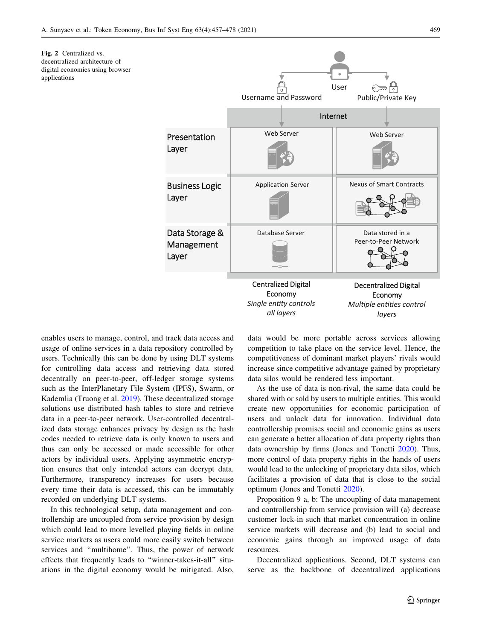<span id="page-12-0"></span>



enables users to manage, control, and track data access and usage of online services in a data repository controlled by users. Technically this can be done by using DLT systems for controlling data access and retrieving data stored decentrally on peer-to-peer, off-ledger storage systems such as the InterPlanetary File System (IPFS), Swarm, or Kademlia (Truong et al. [2019\)](#page-21-0). These decentralized storage solutions use distributed hash tables to store and retrieve data in a peer-to-peer network. User-controlled decentralized data storage enhances privacy by design as the hash codes needed to retrieve data is only known to users and thus can only be accessed or made accessible for other actors by individual users. Applying asymmetric encryption ensures that only intended actors can decrypt data. Furthermore, transparency increases for users because every time their data is accessed, this can be immutably recorded on underlying DLT systems.

In this technological setup, data management and controllership are uncoupled from service provision by design which could lead to more levelled playing fields in online service markets as users could more easily switch between services and ''multihome''. Thus, the power of network effects that frequently leads to ''winner-takes-it-all'' situations in the digital economy would be mitigated. Also, data would be more portable across services allowing competition to take place on the service level. Hence, the competitiveness of dominant market players' rivals would increase since competitive advantage gained by proprietary data silos would be rendered less important.

As the use of data is non-rival, the same data could be shared with or sold by users to multiple entities. This would create new opportunities for economic participation of users and unlock data for innovation. Individual data controllership promises social and economic gains as users can generate a better allocation of data property rights than data ownership by firms (Jones and Tonetti [2020\)](#page-20-0). Thus, more control of data property rights in the hands of users would lead to the unlocking of proprietary data silos, which facilitates a provision of data that is close to the social optimum (Jones and Tonetti [2020\)](#page-20-0).

Proposition 9 a, b: The uncoupling of data management and controllership from service provision will (a) decrease customer lock-in such that market concentration in online service markets will decrease and (b) lead to social and economic gains through an improved usage of data resources.

Decentralized applications. Second, DLT systems can serve as the backbone of decentralized applications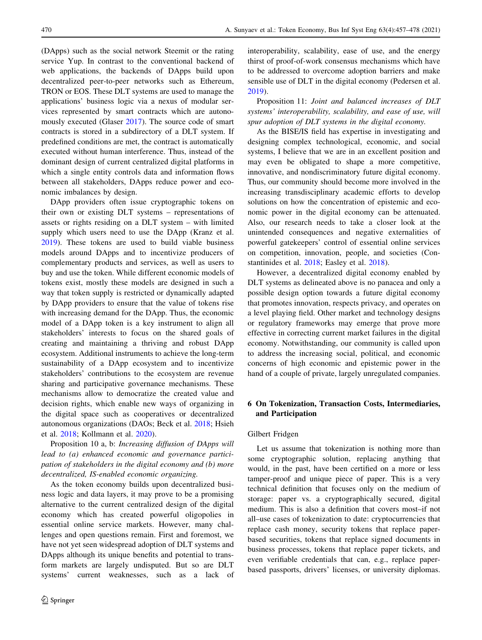(DApps) such as the social network Steemit or the rating service Yup. In contrast to the conventional backend of web applications, the backends of DApps build upon decentralized peer-to-peer networks such as Ethereum, TRON or EOS. These DLT systems are used to manage the applications' business logic via a nexus of modular services represented by smart contracts which are autonomously executed (Glaser [2017](#page-19-0)). The source code of smart contracts is stored in a subdirectory of a DLT system. If predefined conditions are met, the contract is automatically executed without human interference. Thus, instead of the dominant design of current centralized digital platforms in which a single entity controls data and information flows between all stakeholders, DApps reduce power and economic imbalances by design.

DApp providers often issue cryptographic tokens on their own or existing DLT systems – representations of assets or rights residing on a DLT system – with limited supply which users need to use the DApp (Kranz et al. [2019\)](#page-20-0). These tokens are used to build viable business models around DApps and to incentivize producers of complementary products and services, as well as users to buy and use the token. While different economic models of tokens exist, mostly these models are designed in such a way that token supply is restricted or dynamically adapted by DApp providers to ensure that the value of tokens rise with increasing demand for the DApp. Thus, the economic model of a DApp token is a key instrument to align all stakeholders' interests to focus on the shared goals of creating and maintaining a thriving and robust DApp ecosystem. Additional instruments to achieve the long-term sustainability of a DApp ecosystem and to incentivize stakeholders' contributions to the ecosystem are revenue sharing and participative governance mechanisms. These mechanisms allow to democratize the created value and decision rights, which enable new ways of organizing in the digital space such as cooperatives or decentralized autonomous organizations (DAOs; Beck et al. [2018](#page-19-0); Hsieh et al. [2018;](#page-19-0) Kollmann et al. [2020\)](#page-20-0).

Proposition 10 a, b: Increasing diffusion of DApps will lead to (a) enhanced economic and governance participation of stakeholders in the digital economy and (b) more decentralized, IS-enabled economic organizing.

As the token economy builds upon decentralized business logic and data layers, it may prove to be a promising alternative to the current centralized design of the digital economy which has created powerful oligopolies in essential online service markets. However, many challenges and open questions remain. First and foremost, we have not yet seen widespread adoption of DLT systems and DApps although its unique benefits and potential to transform markets are largely undisputed. But so are DLT systems' current weaknesses, such as a lack of interoperability, scalability, ease of use, and the energy thirst of proof-of-work consensus mechanisms which have to be addressed to overcome adoption barriers and make sensible use of DLT in the digital economy (Pedersen et al. [2019](#page-20-0)).

Proposition 11: Joint and balanced increases of DLT systems' interoperability, scalability, and ease of use, will spur adoption of DLT systems in the digital economy.

As the BISE/IS field has expertise in investigating and designing complex technological, economic, and social systems, I believe that we are in an excellent position and may even be obligated to shape a more competitive, innovative, and nondiscriminatory future digital economy. Thus, our community should become more involved in the increasing transdisciplinary academic efforts to develop solutions on how the concentration of epistemic and economic power in the digital economy can be attenuated. Also, our research needs to take a closer look at the unintended consequences and negative externalities of powerful gatekeepers' control of essential online services on competition, innovation, people, and societies (Constantinides et al. [2018;](#page-19-0) Easley et al. [2018\)](#page-19-0).

However, a decentralized digital economy enabled by DLT systems as delineated above is no panacea and only a possible design option towards a future digital economy that promotes innovation, respects privacy, and operates on a level playing field. Other market and technology designs or regulatory frameworks may emerge that prove more effective in correcting current market failures in the digital economy. Notwithstanding, our community is called upon to address the increasing social, political, and economic concerns of high economic and epistemic power in the hand of a couple of private, largely unregulated companies.

# 6 On Tokenization, Transaction Costs, Intermediaries, and Participation

#### Gilbert Fridgen

Let us assume that tokenization is nothing more than some cryptographic solution, replacing anything that would, in the past, have been certified on a more or less tamper-proof and unique piece of paper. This is a very technical definition that focuses only on the medium of storage: paper vs. a cryptographically secured, digital medium. This is also a definition that covers most–if not all–use cases of tokenization to date: cryptocurrencies that replace cash money, security tokens that replace paperbased securities, tokens that replace signed documents in business processes, tokens that replace paper tickets, and even verifiable credentials that can, e.g., replace paperbased passports, drivers' licenses, or university diplomas.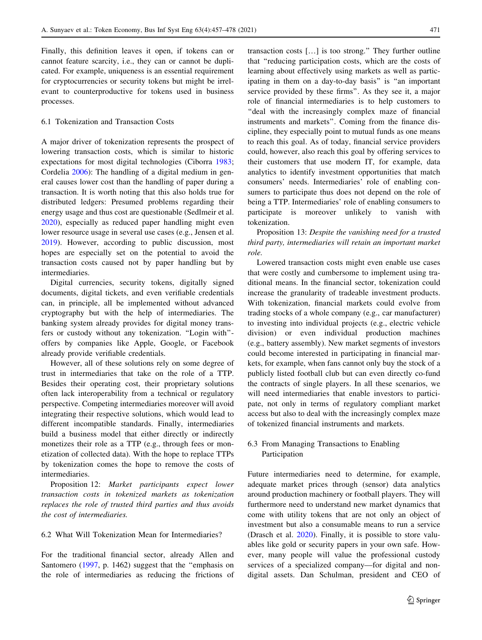Finally, this definition leaves it open, if tokens can or cannot feature scarcity, i.e., they can or cannot be duplicated. For example, uniqueness is an essential requirement for cryptocurrencies or security tokens but might be irrelevant to counterproductive for tokens used in business processes.

### 6.1 Tokenization and Transaction Costs

A major driver of tokenization represents the prospect of lowering transaction costs, which is similar to historic expectations for most digital technologies (Ciborra [1983](#page-19-0); Cordelia [2006\)](#page-19-0): The handling of a digital medium in general causes lower cost than the handling of paper during a transaction. It is worth noting that this also holds true for distributed ledgers: Presumed problems regarding their energy usage and thus cost are questionable (Sedlmeir et al. [2020\)](#page-20-0), especially as reduced paper handling might even lower resource usage in several use cases (e.g., Jensen et al. [2019\)](#page-20-0). However, according to public discussion, most hopes are especially set on the potential to avoid the transaction costs caused not by paper handling but by intermediaries.

Digital currencies, security tokens, digitally signed documents, digital tickets, and even verifiable credentials can, in principle, all be implemented without advanced cryptography but with the help of intermediaries. The banking system already provides for digital money transfers or custody without any tokenization. ''Login with'' offers by companies like Apple, Google, or Facebook already provide verifiable credentials.

However, all of these solutions rely on some degree of trust in intermediaries that take on the role of a TTP. Besides their operating cost, their proprietary solutions often lack interoperability from a technical or regulatory perspective. Competing intermediaries moreover will avoid integrating their respective solutions, which would lead to different incompatible standards. Finally, intermediaries build a business model that either directly or indirectly monetizes their role as a TTP (e.g., through fees or monetization of collected data). With the hope to replace TTPs by tokenization comes the hope to remove the costs of intermediaries.

Proposition 12: Market participants expect lower transaction costs in tokenized markets as tokenization replaces the role of trusted third parties and thus avoids the cost of intermediaries.

# 6.2 What Will Tokenization Mean for Intermediaries?

For the traditional financial sector, already Allen and Santomero [\(1997](#page-19-0), p. 1462) suggest that the ''emphasis on the role of intermediaries as reducing the frictions of

transaction costs […] is too strong.'' They further outline that ''reducing participation costs, which are the costs of learning about effectively using markets as well as participating in them on a day-to-day basis'' is ''an important service provided by these firms''. As they see it, a major role of financial intermediaries is to help customers to ''deal with the increasingly complex maze of financial instruments and markets''. Coming from the finance discipline, they especially point to mutual funds as one means to reach this goal. As of today, financial service providers could, however, also reach this goal by offering services to their customers that use modern IT, for example, data analytics to identify investment opportunities that match consumers' needs. Intermediaries' role of enabling consumers to participate thus does not depend on the role of being a TTP. Intermediaries' role of enabling consumers to participate is moreover unlikely to vanish with tokenization.

Proposition 13: Despite the vanishing need for a trusted third party, intermediaries will retain an important market role.

Lowered transaction costs might even enable use cases that were costly and cumbersome to implement using traditional means. In the financial sector, tokenization could increase the granularity of tradeable investment products. With tokenization, financial markets could evolve from trading stocks of a whole company (e.g., car manufacturer) to investing into individual projects (e.g., electric vehicle division) or even individual production machines (e.g., battery assembly). New market segments of investors could become interested in participating in financial markets, for example, when fans cannot only buy the stock of a publicly listed football club but can even directly co-fund the contracts of single players. In all these scenarios, we will need intermediaries that enable investors to participate, not only in terms of regulatory compliant market access but also to deal with the increasingly complex maze of tokenized financial instruments and markets.

# 6.3 From Managing Transactions to Enabling Participation

Future intermediaries need to determine, for example, adequate market prices through (sensor) data analytics around production machinery or football players. They will furthermore need to understand new market dynamics that come with utility tokens that are not only an object of investment but also a consumable means to run a service (Drasch et al. [2020\)](#page-19-0). Finally, it is possible to store valuables like gold or security papers in your own safe. However, many people will value the professional custody services of a specialized company—for digital and nondigital assets. Dan Schulman, president and CEO of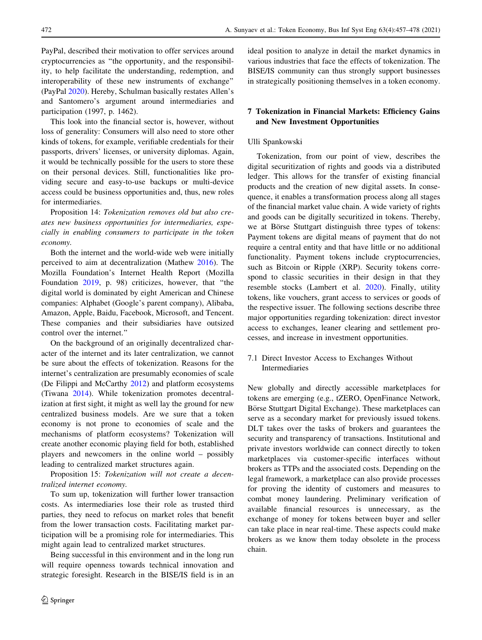PayPal, described their motivation to offer services around cryptocurrencies as ''the opportunity, and the responsibility, to help facilitate the understanding, redemption, and interoperability of these new instruments of exchange'' (PayPal [2020](#page-20-0)). Hereby, Schulman basically restates Allen's and Santomero's argument around intermediaries and participation (1997, p. 1462).

This look into the financial sector is, however, without loss of generality: Consumers will also need to store other kinds of tokens, for example, verifiable credentials for their passports, drivers' licenses, or university diplomas. Again, it would be technically possible for the users to store these on their personal devices. Still, functionalities like providing secure and easy-to-use backups or multi-device access could be business opportunities and, thus, new roles for intermediaries.

Proposition 14: Tokenization removes old but also creates new business opportunities for intermediaries, especially in enabling consumers to participate in the token economy.

Both the internet and the world-wide web were initially perceived to aim at decentralization (Mathew [2016\)](#page-20-0). The Mozilla Foundation's Internet Health Report (Mozilla Foundation [2019](#page-20-0), p. 98) criticizes, however, that ''the digital world is dominated by eight American and Chinese companies: Alphabet (Google's parent company), Alibaba, Amazon, Apple, Baidu, Facebook, Microsoft, and Tencent. These companies and their subsidiaries have outsized control over the internet.''

On the background of an originally decentralized character of the internet and its later centralization, we cannot be sure about the effects of tokenization. Reasons for the internet's centralization are presumably economies of scale (De Filippi and McCarthy [2012](#page-19-0)) and platform ecosystems (Tiwana [2014\)](#page-21-0). While tokenization promotes decentralization at first sight, it might as well lay the ground for new centralized business models. Are we sure that a token economy is not prone to economies of scale and the mechanisms of platform ecosystems? Tokenization will create another economic playing field for both, established players and newcomers in the online world – possibly leading to centralized market structures again.

Proposition 15: Tokenization will not create a decentralized internet economy.

To sum up, tokenization will further lower transaction costs. As intermediaries lose their role as trusted third parties, they need to refocus on market roles that benefit from the lower transaction costs. Facilitating market participation will be a promising role for intermediaries. This might again lead to centralized market structures.

Being successful in this environment and in the long run will require openness towards technical innovation and strategic foresight. Research in the BISE/IS field is in an ideal position to analyze in detail the market dynamics in various industries that face the effects of tokenization. The BISE/IS community can thus strongly support businesses in strategically positioning themselves in a token economy.

# 7 Tokenization in Financial Markets: Efficiency Gains and New Investment Opportunities

### Ulli Spankowski

Tokenization, from our point of view, describes the digital securitization of rights and goods via a distributed ledger. This allows for the transfer of existing financial products and the creation of new digital assets. In consequence, it enables a transformation process along all stages of the financial market value chain. A wide variety of rights and goods can be digitally securitized in tokens. Thereby, we at Börse Stuttgart distinguish three types of tokens: Payment tokens are digital means of payment that do not require a central entity and that have little or no additional functionality. Payment tokens include cryptocurrencies, such as Bitcoin or Ripple (XRP). Security tokens correspond to classic securities in their design in that they resemble stocks (Lambert et al. [2020\)](#page-20-0). Finally, utility tokens, like vouchers, grant access to services or goods of the respective issuer. The following sections describe three major opportunities regarding tokenization: direct investor access to exchanges, leaner clearing and settlement processes, and increase in investment opportunities.

# 7.1 Direct Investor Access to Exchanges Without Intermediaries

New globally and directly accessible marketplaces for tokens are emerging (e.g., tZERO, OpenFinance Network, Börse Stuttgart Digital Exchange). These marketplaces can serve as a secondary market for previously issued tokens. DLT takes over the tasks of brokers and guarantees the security and transparency of transactions. Institutional and private investors worldwide can connect directly to token marketplaces via customer-specific interfaces without brokers as TTPs and the associated costs. Depending on the legal framework, a marketplace can also provide processes for proving the identity of customers and measures to combat money laundering. Preliminary verification of available financial resources is unnecessary, as the exchange of money for tokens between buyer and seller can take place in near real-time. These aspects could make brokers as we know them today obsolete in the process chain.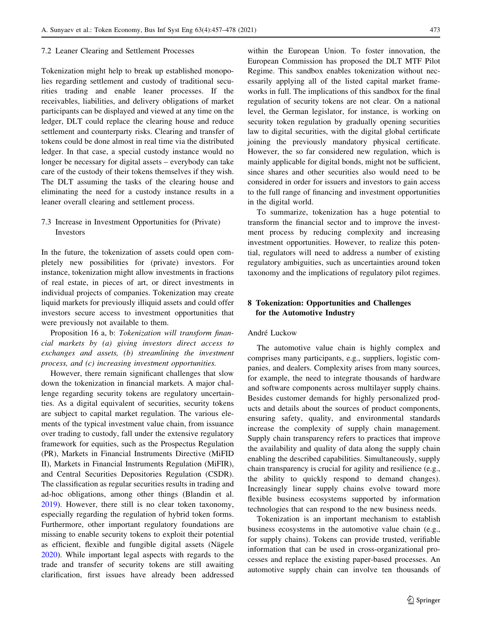#### 7.2 Leaner Clearing and Settlement Processes

Tokenization might help to break up established monopolies regarding settlement and custody of traditional securities trading and enable leaner processes. If the receivables, liabilities, and delivery obligations of market participants can be displayed and viewed at any time on the ledger, DLT could replace the clearing house and reduce settlement and counterparty risks. Clearing and transfer of tokens could be done almost in real time via the distributed ledger. In that case, a special custody instance would no longer be necessary for digital assets – everybody can take care of the custody of their tokens themselves if they wish. The DLT assuming the tasks of the clearing house and eliminating the need for a custody instance results in a leaner overall clearing and settlement process.

# 7.3 Increase in Investment Opportunities for (Private) Investors

In the future, the tokenization of assets could open completely new possibilities for (private) investors. For instance, tokenization might allow investments in fractions of real estate, in pieces of art, or direct investments in individual projects of companies. Tokenization may create liquid markets for previously illiquid assets and could offer investors secure access to investment opportunities that were previously not available to them.

Proposition 16 a, b: Tokenization will transform financial markets by (a) giving investors direct access to exchanges and assets, (b) streamlining the investment process, and (c) increasing investment opportunities.

However, there remain significant challenges that slow down the tokenization in financial markets. A major challenge regarding security tokens are regulatory uncertainties. As a digital equivalent of securities, security tokens are subject to capital market regulation. The various elements of the typical investment value chain, from issuance over trading to custody, fall under the extensive regulatory framework for equities, such as the Prospectus Regulation (PR), Markets in Financial Instruments Directive (MiFID II), Markets in Financial Instruments Regulation (MiFIR), and Central Securities Depositories Regulation (CSDR). The classification as regular securities results in trading and ad-hoc obligations, among other things (Blandin et al. [2019\)](#page-19-0). However, there still is no clear token taxonomy, especially regarding the regulation of hybrid token forms. Furthermore, other important regulatory foundations are missing to enable security tokens to exploit their potential as efficient, flexible and fungible digital assets (Nägele [2020\)](#page-20-0). While important legal aspects with regards to the trade and transfer of security tokens are still awaiting clarification, first issues have already been addressed

within the European Union. To foster innovation, the European Commission has proposed the DLT MTF Pilot Regime. This sandbox enables tokenization without necessarily applying all of the listed capital market frameworks in full. The implications of this sandbox for the final regulation of security tokens are not clear. On a national level, the German legislator, for instance, is working on security token regulation by gradually opening securities law to digital securities, with the digital global certificate joining the previously mandatory physical certificate. However, the so far considered new regulation, which is mainly applicable for digital bonds, might not be sufficient, since shares and other securities also would need to be considered in order for issuers and investors to gain access to the full range of financing and investment opportunities in the digital world.

To summarize, tokenization has a huge potential to transform the financial sector and to improve the investment process by reducing complexity and increasing investment opportunities. However, to realize this potential, regulators will need to address a number of existing regulatory ambiguities, such as uncertainties around token taxonomy and the implications of regulatory pilot regimes.

# 8 Tokenization: Opportunities and Challenges for the Automotive Industry

#### André Luckow

The automotive value chain is highly complex and comprises many participants, e.g., suppliers, logistic companies, and dealers. Complexity arises from many sources, for example, the need to integrate thousands of hardware and software components across multilayer supply chains. Besides customer demands for highly personalized products and details about the sources of product components, ensuring safety, quality, and environmental standards increase the complexity of supply chain management. Supply chain transparency refers to practices that improve the availability and quality of data along the supply chain enabling the described capabilities. Simultaneously, supply chain transparency is crucial for agility and resilience (e.g., the ability to quickly respond to demand changes). Increasingly linear supply chains evolve toward more flexible business ecosystems supported by information technologies that can respond to the new business needs.

Tokenization is an important mechanism to establish business ecosystems in the automotive value chain (e.g., for supply chains). Tokens can provide trusted, verifiable information that can be used in cross-organizational processes and replace the existing paper-based processes. An automotive supply chain can involve ten thousands of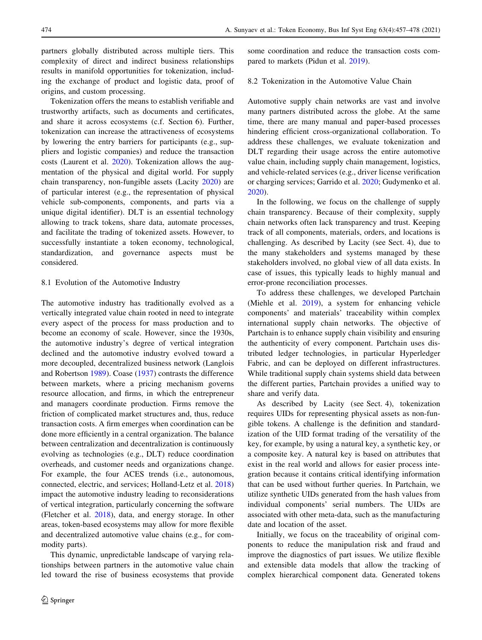partners globally distributed across multiple tiers. This complexity of direct and indirect business relationships results in manifold opportunities for tokenization, including the exchange of product and logistic data, proof of origins, and custom processing.

Tokenization offers the means to establish verifiable and trustworthy artifacts, such as documents and certificates, and share it across ecosystems (c.f. Section 6). Further, tokenization can increase the attractiveness of ecosystems by lowering the entry barriers for participants (e.g., suppliers and logistic companies) and reduce the transaction costs (Laurent et al. [2020](#page-20-0)). Tokenization allows the augmentation of the physical and digital world. For supply chain transparency, non-fungible assets (Lacity [2020\)](#page-20-0) are of particular interest (e.g., the representation of physical vehicle sub-components, components, and parts via a unique digital identifier). DLT is an essential technology allowing to track tokens, share data, automate processes, and facilitate the trading of tokenized assets. However, to successfully instantiate a token economy, technological, standardization, and governance aspects must be considered.

### 8.1 Evolution of the Automotive Industry

The automotive industry has traditionally evolved as a vertically integrated value chain rooted in need to integrate every aspect of the process for mass production and to become an economy of scale. However, since the 1930s, the automotive industry's degree of vertical integration declined and the automotive industry evolved toward a more decoupled, decentralized business network (Langlois and Robertson [1989](#page-20-0)). Coase ([1937\)](#page-19-0) contrasts the difference between markets, where a pricing mechanism governs resource allocation, and firms, in which the entrepreneur and managers coordinate production. Firms remove the friction of complicated market structures and, thus, reduce transaction costs. A firm emerges when coordination can be done more efficiently in a central organization. The balance between centralization and decentralization is continuously evolving as technologies (e.g., DLT) reduce coordination overheads, and customer needs and organizations change. For example, the four ACES trends (i.e., autonomous, connected, electric, and services; Holland-Letz et al. [2018\)](#page-19-0) impact the automotive industry leading to reconsiderations of vertical integration, particularly concerning the software (Fletcher et al. [2018\)](#page-19-0), data, and energy storage. In other areas, token-based ecosystems may allow for more flexible and decentralized automotive value chains (e.g., for commodity parts).

This dynamic, unpredictable landscape of varying relationships between partners in the automotive value chain led toward the rise of business ecosystems that provide some coordination and reduce the transaction costs compared to markets (Pidun et al. [2019](#page-20-0)).

#### 8.2 Tokenization in the Automotive Value Chain

Automotive supply chain networks are vast and involve many partners distributed across the globe. At the same time, there are many manual and paper-based processes hindering efficient cross-organizational collaboration. To address these challenges, we evaluate tokenization and DLT regarding their usage across the entire automotive value chain, including supply chain management, logistics, and vehicle-related services (e.g., driver license verification or charging services; Garrido et al. [2020;](#page-19-0) Gudymenko et al. [2020](#page-19-0)).

In the following, we focus on the challenge of supply chain transparency. Because of their complexity, supply chain networks often lack transparency and trust. Keeping track of all components, materials, orders, and locations is challenging. As described by Lacity (see Sect. 4), due to the many stakeholders and systems managed by these stakeholders involved, no global view of all data exists. In case of issues, this typically leads to highly manual and error-prone reconciliation processes.

To address these challenges, we developed Partchain (Miehle et al. [2019](#page-20-0)), a system for enhancing vehicle components' and materials' traceability within complex international supply chain networks. The objective of Partchain is to enhance supply chain visibility and ensuring the authenticity of every component. Partchain uses distributed ledger technologies, in particular Hyperledger Fabric, and can be deployed on different infrastructures. While traditional supply chain systems shield data between the different parties, Partchain provides a unified way to share and verify data.

As described by Lacity (see Sect. 4), tokenization requires UIDs for representing physical assets as non-fungible tokens. A challenge is the definition and standardization of the UID format trading of the versatility of the key, for example, by using a natural key, a synthetic key, or a composite key. A natural key is based on attributes that exist in the real world and allows for easier process integration because it contains critical identifying information that can be used without further queries. In Partchain, we utilize synthetic UIDs generated from the hash values from individual components' serial numbers. The UIDs are associated with other meta-data, such as the manufacturing date and location of the asset.

Initially, we focus on the traceability of original components to reduce the manipulation risk and fraud and improve the diagnostics of part issues. We utilize flexible and extensible data models that allow the tracking of complex hierarchical component data. Generated tokens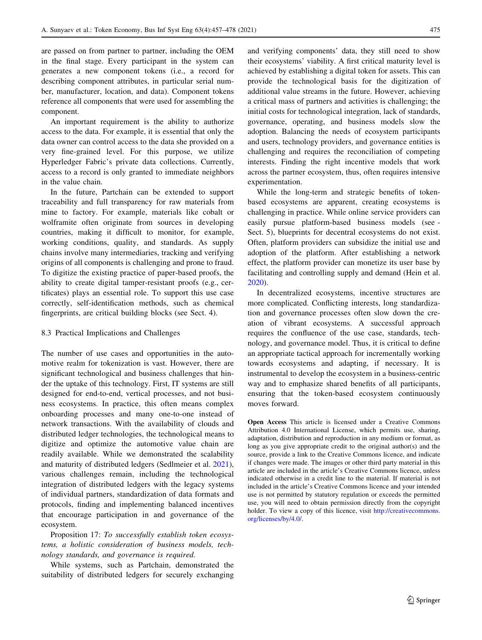are passed on from partner to partner, including the OEM in the final stage. Every participant in the system can generates a new component tokens (i.e., a record for describing component attributes, in particular serial number, manufacturer, location, and data). Component tokens reference all components that were used for assembling the component.

An important requirement is the ability to authorize access to the data. For example, it is essential that only the data owner can control access to the data she provided on a very fine-grained level. For this purpose, we utilize Hyperledger Fabric's private data collections. Currently, access to a record is only granted to immediate neighbors in the value chain.

In the future, Partchain can be extended to support traceability and full transparency for raw materials from mine to factory. For example, materials like cobalt or wolframite often originate from sources in developing countries, making it difficult to monitor, for example, working conditions, quality, and standards. As supply chains involve many intermediaries, tracking and verifying origins of all components is challenging and prone to fraud. To digitize the existing practice of paper-based proofs, the ability to create digital tamper-resistant proofs (e.g., certificates) plays an essential role. To support this use case correctly, self-identification methods, such as chemical fingerprints, are critical building blocks (see Sect. 4).

#### 8.3 Practical Implications and Challenges

The number of use cases and opportunities in the automotive realm for tokenization is vast. However, there are significant technological and business challenges that hinder the uptake of this technology. First, IT systems are still designed for end-to-end, vertical processes, and not business ecosystems. In practice, this often means complex onboarding processes and many one-to-one instead of network transactions. With the availability of clouds and distributed ledger technologies, the technological means to digitize and optimize the automotive value chain are readily available. While we demonstrated the scalability and maturity of distributed ledgers (Sedlmeier et al. [2021](#page-20-0)), various challenges remain, including the technological integration of distributed ledgers with the legacy systems of individual partners, standardization of data formats and protocols, finding and implementing balanced incentives that encourage participation in and governance of the ecosystem.

Proposition 17: To successfully establish token ecosystems, a holistic consideration of business models, technology standards, and governance is required.

While systems, such as Partchain, demonstrated the suitability of distributed ledgers for securely exchanging

and verifying components' data, they still need to show their ecosystems' viability. A first critical maturity level is achieved by establishing a digital token for assets. This can provide the technological basis for the digitization of additional value streams in the future. However, achieving a critical mass of partners and activities is challenging; the initial costs for technological integration, lack of standards, governance, operating, and business models slow the adoption. Balancing the needs of ecosystem participants and users, technology providers, and governance entities is challenging and requires the reconciliation of competing interests. Finding the right incentive models that work across the partner ecosystem, thus, often requires intensive experimentation.

While the long-term and strategic benefits of tokenbased ecosystems are apparent, creating ecosystems is challenging in practice. While online service providers can easily pursue platform-based business models (see - Sect. 5), blueprints for decentral ecosystems do not exist. Often, platform providers can subsidize the initial use and adoption of the platform. After establishing a network effect, the platform provider can monetize its user base by facilitating and controlling supply and demand (Hein et al. [2020](#page-19-0)).

In decentralized ecosystems, incentive structures are more complicated. Conflicting interests, long standardization and governance processes often slow down the creation of vibrant ecosystems. A successful approach requires the confluence of the use case, standards, technology, and governance model. Thus, it is critical to define an appropriate tactical approach for incrementally working towards ecosystems and adapting, if necessary. It is instrumental to develop the ecosystem in a business-centric way and to emphasize shared benefits of all participants, ensuring that the token-based ecosystem continuously moves forward.

Open Access This article is licensed under a Creative Commons Attribution 4.0 International License, which permits use, sharing, adaptation, distribution and reproduction in any medium or format, as long as you give appropriate credit to the original author(s) and the source, provide a link to the Creative Commons licence, and indicate if changes were made. The images or other third party material in this article are included in the article's Creative Commons licence, unless indicated otherwise in a credit line to the material. If material is not included in the article's Creative Commons licence and your intended use is not permitted by statutory regulation or exceeds the permitted use, you will need to obtain permission directly from the copyright holder. To view a copy of this licence, visit [http://creativecommons.](http://creativecommons.org/licenses/by/4.0/) [org/licenses/by/4.0/.](http://creativecommons.org/licenses/by/4.0/)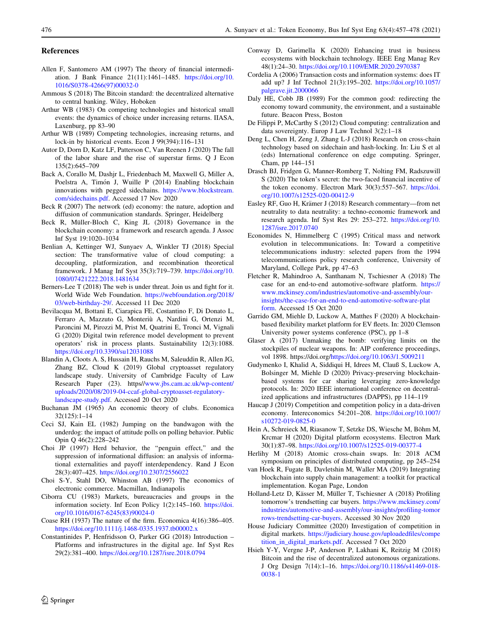#### <span id="page-19-0"></span>References

- Allen F, Santomero AM (1997) The theory of financial intermediation. J Bank Finance 21(11):1461–1485. [https://doi.org/10.](https://doi.org/10.1016/S0378-4266(97)00032-0) [1016/S0378-4266\(97\)00032-0](https://doi.org/10.1016/S0378-4266(97)00032-0)
- Ammous S (2018) The Bitcoin standard: the decentralized alternative to central banking. Wiley, Hoboken
- Arthur WB (1983) On competing technologies and historical small events: the dynamics of choice under increasing returns. IIASA, Laxenburg, pp 83–90
- Arthur WB (1989) Competing technologies, increasing returns, and lock-in by historical events. Econ J 99(394):116–131
- Autor D, Dorn D, Katz LF, Patterson C, Van Reenen J (2020) The fall of the labor share and the rise of superstar firms. Q J Econ 135(2):645–709
- Back A, Corallo M, Dashjr L, Friedenbach M, Maxwell G, Miller A, Poelstra A, Timón J, Wuille P (2014) Enabling blockchain innovations with pegged sidechains. [https://www.blockstream.](https://www.blockstream.com/sidechains.pdf) [com/sidechains.pdf.](https://www.blockstream.com/sidechains.pdf) Accessed 17 Nov 2020
- Beck R (2007) The network (ed) economy: the nature, adoption and diffusion of communication standards. Springer, Heidelberg
- Beck R, Müller-Bloch C, King JL (2018) Governance in the blockchain economy: a framework and research agenda. J Assoc Inf Syst 19:1020–1034
- Benlian A, Kettinger WJ, Sunyaev A, Winkler TJ (2018) Special section: The transformative value of cloud computing: a decoupling, platformization, and recombination theoretical framework. J Manag Inf Syst 35(3):719–739. [https://doi.org/10.](https://doi.org/10.1080/07421222.2018.1481634) [1080/07421222.2018.1481634](https://doi.org/10.1080/07421222.2018.1481634)
- Berners-Lee T (2018) The web is under threat. Join us and fight for it. World Wide Web Foundation. [https://webfoundation.org/2018/](https://webfoundation.org/2018/03/web-birthday-29/) [03/web-birthday-29/.](https://webfoundation.org/2018/03/web-birthday-29/) Accessed 11 Dec 2020
- Bevilacqua M, Bottani E, Ciarapica FE, Costantino F, Di Donato L, Ferraro A, Mazzuto G, Monteriù A, Nardini G, Ortenzi M, Paroncini M, Pirozzi M, Prist M, Quatrini E, Tronci M, Vignali G (2020) Digital twin reference model development to prevent operators' risk in process plants. Sustainability 12(3):1088. <https://doi.org/10.3390/su12031088>
- Blandin A, Cloots A. S, Hussain H, Rauchs M, Saleuddin R, Allen JG, Zhang BZ, Cloud K (2019) Global cryptoasset regulatory landscape study. University of Cambridge Faculty of Law Research Paper (23). https/[/www.jbs.cam.ac.uk/wp-content/](http://www.jbs.cam.ac.uk/wp-content/uploads/2020/08/2019-04-ccaf-global-cryptoasset-regulatory-landscape-study.pdf) [uploads/2020/08/2019-04-ccaf-global-cryptoasset-regulatory](http://www.jbs.cam.ac.uk/wp-content/uploads/2020/08/2019-04-ccaf-global-cryptoasset-regulatory-landscape-study.pdf)[landscape-study.pdf](http://www.jbs.cam.ac.uk/wp-content/uploads/2020/08/2019-04-ccaf-global-cryptoasset-regulatory-landscape-study.pdf). Accessed 20 Oct 2020
- Buchanan JM (1965) An economic theory of clubs. Economica 32(125):1–14
- Ceci SJ, Kain EL (1982) Jumping on the bandwagon with the underdog: the impact of attitude polls on polling behavior. Public Opin Q 46(2):228–242
- Choi JP (1997) Herd behavior, the ''penguin effect,'' and the suppression of informational diffusion: an analysis of informational externalities and payoff interdependency. Rand J Econ 28(3):407–425. <https://doi.org/10.2307/2556022>
- Choi S-Y, Stahl DO, Whinston AB (1997) The economics of electronic commerce. Macmillan, Indianapolis
- Ciborra CU (1983) Markets, bureaucracies and groups in the information society. Inf Econ Policy 1(2):145–160. [https://doi.](https://doi.org/10.1016/0167-6245(83)90024-0) [org/10.1016/0167-6245\(83\)90024-0](https://doi.org/10.1016/0167-6245(83)90024-0)
- Coase RH (1937) The nature of the firm. Economica 4(16):386–405. <https://doi.org/10.1111/j.1468-0335.1937.tb00002.x>
- Constantinides P, Henfridsson O, Parker GG (2018) Introduction Platforms and infrastructures in the digital age. Inf Syst Res 29(2):381–400. <https://doi.org/10.1287/isre.2018.0794>
- Conway D, Garimella K (2020) Enhancing trust in business ecosystems with blockchain technology. IEEE Eng Manag Rev 48(1):24–30. <https://doi.org/10.1109/EMR.2020.2970387>
- Cordelia A (2006) Transaction costs and information systems: does IT add up? J Inf Technol 21(3):195–202. [https://doi.org/10.1057/](https://doi.org/10.1057/palgrave.jit.2000066) [palgrave.jit.2000066](https://doi.org/10.1057/palgrave.jit.2000066)
- Daly HE, Cobb JB (1989) For the common good: redirecting the economy toward community, the environment, and a sustainable future. Beacon Press, Boston
- De Filippi P, McCarthy S (2012) Cloud computing: centralization and data sovereignty. Europ J Law Technol 3(2):1–18
- Deng L, Chen H, Zeng J, Zhang L-J (2018) Research on cross-chain technology based on sidechain and hash-locking. In: Liu S et al (eds) International conference on edge computing. Springer, Cham, pp 144–151
- Drasch BJ, Fridgen G, Manner-Romberg T, Nolting FM, Radszuwill S (2020) The token's secret: the two-faced financial incentive of the token economy. Electron Mark 30(3):557–567. [https://doi.](https://doi.org/10.1007/s12525-020-00412-9) [org/10.1007/s12525-020-00412-9](https://doi.org/10.1007/s12525-020-00412-9)
- Easley RF, Guo H, Krämer J (2018) Research commentary—from net neutrality to data neutrality: a techno-economic framework and research agenda. Inf Syst Res 29: 253–272. [https://doi.org/10.](https://doi.org/10.1287/isre.2017.0740) [1287/isre.2017.0740](https://doi.org/10.1287/isre.2017.0740)
- Economides N, Himmelberg C (1995) Critical mass and network evolution in telecommunications. In: Toward a competitive telecommunications industry: selected papers from the 1994 telecommunications policy research conference, University of Maryland, College Park, pp 47–63
- Fletcher R, Mahindroo A, Santhanam N, Tschiesner A (2018) The case for an end-to-end automotive-software platform. [https://](https://www.mckinsey.com/industries/automotive-and-assembly/our-insights/the-case-for-an-end-to-end-automotive-software-platform) [www.mckinsey.com/industries/automotive-and-assembly/our](https://www.mckinsey.com/industries/automotive-and-assembly/our-insights/the-case-for-an-end-to-end-automotive-software-platform)[insights/the-case-for-an-end-to-end-automotive-software-plat](https://www.mckinsey.com/industries/automotive-and-assembly/our-insights/the-case-for-an-end-to-end-automotive-software-platform) [form.](https://www.mckinsey.com/industries/automotive-and-assembly/our-insights/the-case-for-an-end-to-end-automotive-software-platform) Accessed 15 Oct 2020
- Garrido GM, Miehle D, Luckow A, Matthes F (2020) A blockchainbased flexibility market platform for EV fleets. In: 2020 Clemson University power systems conference (PSC), pp 1–8
- Glaser A (2017) Unmaking the bomb: verifying limits on the stockpiles of nuclear weapons. In: AIP conference proceedings, vol 1898. https://doi.org/<https://doi.org/10.1063/1.5009211>
- Gudymenko I, Khalid A, Siddiqui H, Idrees M, Clauß S, Luckow A, Bolsinger M, Miehle D (2020) Privacy-preserving blockchainbased systems for car sharing leveraging zero-knowledge protocols. In: 2020 IEEE international conference on decentralized applications and infrastructures (DAPPS), pp 114–119
- Haucap J (2019) Competition and competition policy in a data-driven economy. Intereconomics 54:201–208. [https://doi.org/10.1007/](https://doi.org/10.1007/s10272-019-0825-0) [s10272-019-0825-0](https://doi.org/10.1007/s10272-019-0825-0)
- Hein A, Schreieck M, Riasanow T, Setzke DS, Wiesche M, Böhm M, Krcmar H (2020) Digital platform ecosystems. Electron Mark 30(1):87–98. <https://doi.org/10.1007/s12525-019-00377-4>
- Herlihy M (2018) Atomic cross-chain swaps. In: 2018 ACM symposium on principles of distributed computing, pp 245–254
- van Hoek R, Fugate B, Davletshin M, Waller MA (2019) Integrating blockchain into supply chain management: a toolkit for practical implementation. Kogan Page, London
- Holland-Letz D, Kässer M, Müller T, Tschiesner A (2018) Profiling tomorrow's trendsetting car buyers. [https://www.mckinsey.com/](https://www.mckinsey.com/industries/automotive-and-assembly/our-insights/profiling-tomorrows-trendsetting-car-buyers) [industries/automotive-and-assembly/our-insights/profiling-tomor](https://www.mckinsey.com/industries/automotive-and-assembly/our-insights/profiling-tomorrows-trendsetting-car-buyers) [rows-trendsetting-car-buyers](https://www.mckinsey.com/industries/automotive-and-assembly/our-insights/profiling-tomorrows-trendsetting-car-buyers). Accessed 30 Nov 2020
- House Judiciary Committee (2020) Investigation of competition in digital markets. [https://judiciary.house.gov/uploadedfiles/compe](https://judiciary.house.gov/uploadedfiles/competition_in_digital_markets.pdf) [tition\\_in\\_digital\\_markets.pdf.](https://judiciary.house.gov/uploadedfiles/competition_in_digital_markets.pdf) Accessed 7 Oct 2020
- Hsieh Y-Y, Vergne J-P, Anderson P, Lakhani K, Reitzig M (2018) Bitcoin and the rise of decentralized autonomous organizations. J Org Design 7(14):1–16. [https://doi.org/10.1186/s41469-018-](https://doi.org/10.1186/s41469-018-0038-1) [0038-1](https://doi.org/10.1186/s41469-018-0038-1)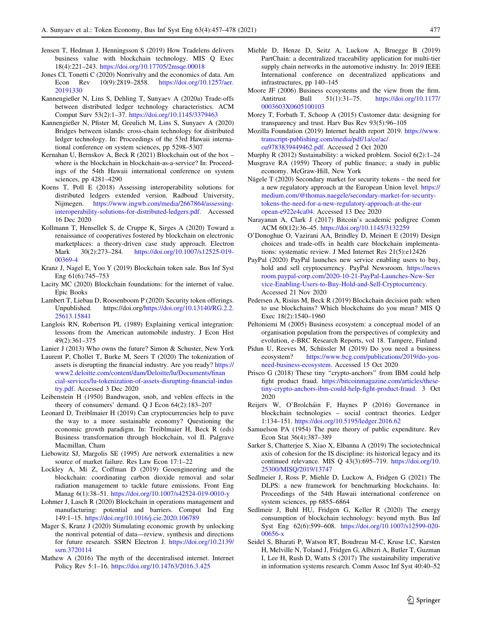- <span id="page-20-0"></span>Jensen T, Hedman J, Henningsson S (2019) How Tradelens delivers business value with blockchain technology. MIS Q Exec 18(4):221–243. <https://doi.org/10.17705/2msqe.00018>
- Jones CI, Tonetti C (2020) Nonrivalry and the economics of data. Am Econ Rev 10(9):2819–2858. [https://doi.org/10.1257/aer.](https://doi.org/10.1257/aer.20191330) [20191330](https://doi.org/10.1257/aer.20191330)
- Kannengießer N, Lins S, Dehling T, Sunyaev A (2020a) Trade-offs between distributed ledger technology characteristics. ACM Comput Surv 53(2):1–37. <https://doi.org/10.1145/3379463>
- Kannengießer N, Pfister M, Greulich M, Lins S, Sunyaev A (2020) Bridges between islands: cross-chain technology for distributed ledger technology. In: Proceedings of the 53rd Hawaii international conference on system sciences, pp 5298–5307
- Kernahan U, Bernskov A, Beck R (2021) Blockchain out of the box where is the blockchain in blockchain-as-a-service? In: Proceedings of the 54th Hawaii international conference on system sciences, pp 4281–4290
- Koens T, Poll E (2018) Assessing interoperability solutions for distributed ledgers extended version. Radboud University, Nijmegen. [https://www.ingwb.com/media/2667864/assessing](https://www.ingwb.com/media/2667864/assessing-interoperability-solutions-for-distributed-ledgers.pdf)[interoperability-solutions-for-distributed-ledgers.pdf.](https://www.ingwb.com/media/2667864/assessing-interoperability-solutions-for-distributed-ledgers.pdf) Accessed 16 Dec 2020
- Kollmann T, Hensellek S, de Cruppe K, Sirges A (2020) Toward a renaissance of cooperatives fostered by blockchain on electronic marketplaces: a theory-driven case study approach. Electron Mark 30(2):273–284. [https://doi.org/10.1007/s12525-019-](https://doi.org/10.1007/s12525-019-00369-4) [00369-4](https://doi.org/10.1007/s12525-019-00369-4)
- Kranz J, Nagel E, Yoo Y (2019) Blockchain token sale. Bus Inf Syst Eng 61(6):745–753
- Lacity MC (2020) Blockchain foundations: for the internet of value. Epic Books
- Lambert T, Liebau D, Roosenboom P (2020) Security token offerings. Unpublished. https://doi.org[/https://doi.org/10.13140/RG.2.2.](https://doi.org/10.13140/RG.2.2.25613.15841) [25613.15841](https://doi.org/10.13140/RG.2.2.25613.15841)
- Langlois RN, Robertson PL (1989) Explaining vertical integration: lessons from the American automobile industry. J Econ Hist 49(2):361–375
- Lanier J (2013) Who owns the future? Simon & Schuster, New York
- Laurent P, Chollet T, Burke M, Seers T (2020) The tokenization of assets is disrupting the financial industry. Are you ready? [https://](https://www2.deloitte.com/content/dam/Deloitte/lu/Documents/financial-services/lu-tokenization-of-assets-disrupting-financial-industry.pdf) [www2.deloitte.com/content/dam/Deloitte/lu/Documents/finan](https://www2.deloitte.com/content/dam/Deloitte/lu/Documents/financial-services/lu-tokenization-of-assets-disrupting-financial-industry.pdf) [cial-services/lu-tokenization-of-assets-disrupting-financial-indus](https://www2.deloitte.com/content/dam/Deloitte/lu/Documents/financial-services/lu-tokenization-of-assets-disrupting-financial-industry.pdf) [try.pdf.](https://www2.deloitte.com/content/dam/Deloitte/lu/Documents/financial-services/lu-tokenization-of-assets-disrupting-financial-industry.pdf) Accessed 3 Dec 2020
- Leibenstein H (1950) Bandwagon, snob, and veblen effects in the theory of consumers' demand. Q J Econ 64(2):183–207
- Leonard D, Treiblmaier H (2019) Can cryptocurrencies help to pave the way to a more sustainable economy? Questioning the economic growth paradigm. In: Treiblmaier H, Beck R (eds) Business transformation through blockchain, vol II. Palgrave Macmillan, Cham
- Liebowitz SJ, Margolis SE (1995) Are network externalities a new source of market failure. Res Law Econ 17:1–22
- Lockley A, Mi Z, Coffman D (2019) Geoengineering and the blockchain: coordinating carbon dioxide removal and solar radiation management to tackle future emissions. Front Eng Manag 6(1):38–51. <https://doi.org/10.1007/s42524-019-0010-y>
- Lohmer J, Lasch R (2020) Blockchain in operations management and manufacturing: potential and barriers. Comput Ind Eng 149:1–15. <https://doi.org/10.1016/j.cie.2020.106789>
- Mager S, Kranz J (2020) Stimulating economic growth by unlocking the nonrival potential of data—review, synthesis and directions for future research. SSRN Electron J. [https://doi.org/10.2139/](https://doi.org/10.2139/ssrn.3720114) [ssrn.3720114](https://doi.org/10.2139/ssrn.3720114)
- Mathew A (2016) The myth of the decentralised internet. Internet Policy Rev 5:1–16. <https://doi.org/10.14763/2016.3.425>
- Miehle D, Henze D, Seitz A, Luckow A, Bruegge B (2019) PartChain: a decentralized traceability application for multi-tier supply chain networks in the automotive industry. In: 2019 IEEE International conference on decentralized applications and infrastructures, pp 140–145
- Moore JF (2006) Business ecosystems and the view from the firm. Antitrust Bull 51(1):31–75. [https://doi.org/10.1177/](https://doi.org/10.1177/0003603X0605100103) [0003603X0605100103](https://doi.org/10.1177/0003603X0605100103)
- Morey T, Forbath T, Schoop A (2015) Customer data: designing for transparency and trust. Harv Bus Rev 93(5):96–105
- Mozilla Foundation (2019) Internet health report 2019. [https://www.](https://www.transcript-publishing.com/media/pdf/1a/ce/ac/oa9783839449462.pdf) [transcript-publishing.com/media/pdf/1a/ce/ac/](https://www.transcript-publishing.com/media/pdf/1a/ce/ac/oa9783839449462.pdf) [oa9783839449462.pdf.](https://www.transcript-publishing.com/media/pdf/1a/ce/ac/oa9783839449462.pdf) Accessed 2 Oct 2020
- Murphy R (2012) Sustainability: a wicked problem. Sociol 6(2):1–24 Musgrave RA (1959) Theory of public finance; a study in public economy. McGraw-Hill, New York
- Nägele  $T(2020)$  Secondary market for security tokens the need for a new regulatory approach at the European Union level. [https://](https://medium.com/@thomas.naegele/secondary-market-for-security-tokens-the-need-for-a-new-regulatory-approach-at-the-european-e922e4ca04) [medium.com/@thomas.naegele/secondary-market-for-security](https://medium.com/@thomas.naegele/secondary-market-for-security-tokens-the-need-for-a-new-regulatory-approach-at-the-european-e922e4ca04)[tokens-the-need-for-a-new-regulatory-approach-at-the-eur](https://medium.com/@thomas.naegele/secondary-market-for-security-tokens-the-need-for-a-new-regulatory-approach-at-the-european-e922e4ca04) [opean-e922e4ca04.](https://medium.com/@thomas.naegele/secondary-market-for-security-tokens-the-need-for-a-new-regulatory-approach-at-the-european-e922e4ca04) Accessed 13 Dec 2020
- Narayanan A, Clark J (2017) Bitcoin's academic pedigree Comm ACM 60(12):36–45. <https://doi.org/10.1145/3132259>
- O'Donoghue O, Vazirani AA, Brindley D, Meinert E (2019) Design choices and trade-offs in health care blockchain implementations: systematic review. J Med Internet Res 21(5):e12426
- PayPal (2020) PayPal launches new service enabling users to buy, hold and sell cryptocurrency. PayPal Newsroom. [https://news](https://newsroom.paypal-corp.com/2020-10-21-PayPal-Launches-New-Service-Enabling-Users-to-Buy-Hold-and-Sell-Cryptocurrency) [room.paypal-corp.com/2020-10-21-PayPal-Launches-New-Ser](https://newsroom.paypal-corp.com/2020-10-21-PayPal-Launches-New-Service-Enabling-Users-to-Buy-Hold-and-Sell-Cryptocurrency) [vice-Enabling-Users-to-Buy-Hold-and-Sell-Cryptocurrency](https://newsroom.paypal-corp.com/2020-10-21-PayPal-Launches-New-Service-Enabling-Users-to-Buy-Hold-and-Sell-Cryptocurrency). Accessed 21 Nov 2020
- Pedersen A, Risius M, Beck R (2019) Blockchain decision path: when to use blockchains? Which blockchains do you mean? MIS Q Exec 18(2):1540–1960
- Peltoniemi M (2005) Business ecosystem: a conceptual model of an organisation population from the perspectives of complexity and evolution, e-BRC Research Reports, vol 18. Tampere, Finland
- Pidun U, Reeves M, Schüssler M (2019) Do you need a business ecosystem? [https://www.bcg.com/publications/2019/do-you](https://www.bcg.com/publications/2019/do-you-need-business-ecosystem)[need-business-ecosystem.](https://www.bcg.com/publications/2019/do-you-need-business-ecosystem) Accessed 15 Oct 2020
- Prisco G (2018) These tiny "crypto-anchors" from IBM could help fight product fraud. [https://bitcoinmagazine.com/articles/these](https://bitcoinmagazine.com/articles/these-tiny-crypto-anchors-ibm-could-help-fight-product-fraud)[tiny-crypto-anchors-ibm-could-help-fight-product-fraud](https://bitcoinmagazine.com/articles/these-tiny-crypto-anchors-ibm-could-help-fight-product-fraud). 3 Oct 2020
- Reijers W, O'Brolcha´in F, Haynes P (2016) Governance in blockchain technologies – social contract theories. Ledger 1:134–151. <https://doi.org/10.5195/ledger.2016.62>
- Samuelson PA (1954) The pure theory of public expenditure. Rev Econ Stat 36(4):387–389
- Sarker S, Chatterjee S, Xiao X, Elbanna A (2019) The sociotechnical axis of cohesion for the IS discipline: its historical legacy and its continued relevance. MIS Q 43(3):695–719. [https://doi.org/10.](https://doi.org/10.25300/MISQ/2019/13747) [25300/MISQ/2019/13747](https://doi.org/10.25300/MISQ/2019/13747)
- Sedlmeier J, Ross P, Miehle D, Luckow A, Fridgen G (2021) The DLPS: a new framework for benchmarking blockchains. In: Proceedings of the 54th Hawaii international conference on system sciences, pp 6855–6864
- Sedlmeir J, Buhl HU, Fridgen G, Keller R (2020) The energy consumption of blockchain technology: beyond myth. Bus Inf Syst Eng 62(6):599–608. [https://doi.org/10.1007/s12599-020-](https://doi.org/10.1007/s12599-020-00656-x) [00656-x](https://doi.org/10.1007/s12599-020-00656-x)
- Seidel S, Bharati P, Watson RT, Boudreau M-C, Kruse LC, Karsten H, Melville N, Toland J, Fridgen G, Albizri A, Butler T, Guzman I, Lee H, Rush D, Watts S (2017) The sustainability imperative in information systems research. Comm Assoc Inf Syst 40:40–52